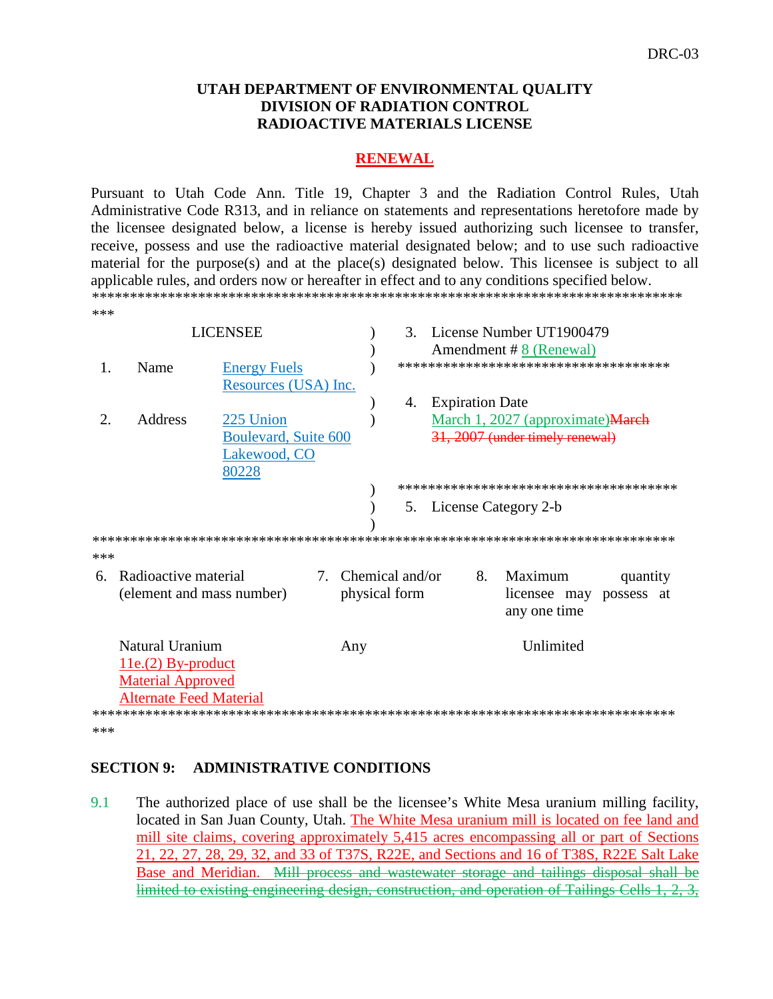#### **UTAH DEPARTMENT OF ENVIRONMENTAL QUALITY DIVISION OF RADIATION CONTROL RADIOACTIVE MATERIALS LICENSE**

#### **RENEWAL**

Pursuant to Utah Code Ann. Title 19, Chapter 3 and the Radiation Control Rules, Utah Administrative Code R313, and in reliance on statements and representations heretofore made by the licensee designated below, a license is hereby issued authorizing such licensee to transfer, receive, possess and use the radioactive material designated below; and to use such radioactive material for the purpose(s) and at the place(s) designated below. This licensee is subject to all applicable rules, and orders now or hereafter in effect and to any conditions specified below. \*\*\*\*\*\*\*\*\*\*\*\*\*\*\*\*\*\*\*\*\*\*\*\*\*\*\*\*\*\*\*\*\*\*\*\*\*\*\*\*\*\*\*\*\*\*\*\*\*\*\*\*\*\*\*\*\*\*\*\*\*\*\*\*\*\*\*\*\*\*\*\*\*\*\*\*\*\* \*\*\*

|                       | <b>LICENSEE</b>                                   |                                             |                                     |  | $\mathcal{R}_{\alpha}$ | License Number UT1900479<br>Amendment #8 (Renewal) |                                        |  |  |
|-----------------------|---------------------------------------------------|---------------------------------------------|-------------------------------------|--|------------------------|----------------------------------------------------|----------------------------------------|--|--|
| 1.                    | Name                                              | <b>Energy Fuels</b><br>Resources (USA) Inc. |                                     |  |                        |                                                    | *************************************  |  |  |
|                       |                                                   |                                             |                                     |  | 4.                     | <b>Expiration Date</b>                             |                                        |  |  |
| $\mathcal{D}_{\cdot}$ | <b>Address</b>                                    | 225 Union                                   |                                     |  |                        |                                                    | March 1, 2027 (approximate)March       |  |  |
|                       |                                                   | Boulevard, Suite 600                        |                                     |  |                        |                                                    | 31, 2007 (under timely renewal)        |  |  |
|                       |                                                   | Lakewood, CO                                |                                     |  |                        |                                                    |                                        |  |  |
|                       |                                                   | 80228                                       |                                     |  |                        |                                                    |                                        |  |  |
|                       |                                                   |                                             |                                     |  |                        |                                                    | ************************************** |  |  |
|                       |                                                   |                                             |                                     |  |                        | 5. License Category 2-b                            |                                        |  |  |
|                       |                                                   |                                             |                                     |  |                        |                                                    |                                        |  |  |
|                       |                                                   |                                             |                                     |  |                        |                                                    |                                        |  |  |
| ***                   |                                                   |                                             |                                     |  |                        |                                                    |                                        |  |  |
| 6.                    | Radioactive material<br>(element and mass number) |                                             | 7. Chemical and/or<br>physical form |  |                        | 8. Maximum<br>quantity<br>licensee may possess at  |                                        |  |  |
|                       |                                                   |                                             |                                     |  |                        |                                                    | any one time                           |  |  |
|                       | Natural Uranium                                   |                                             | Any                                 |  |                        |                                                    | Unlimited                              |  |  |
|                       | $11e(2)$ By-product                               |                                             |                                     |  |                        |                                                    |                                        |  |  |
|                       | <b>Material Approved</b>                          |                                             |                                     |  |                        |                                                    |                                        |  |  |
|                       | <b>Alternate Feed Material</b>                    |                                             |                                     |  |                        |                                                    |                                        |  |  |
|                       |                                                   |                                             |                                     |  |                        |                                                    |                                        |  |  |
| ***                   |                                                   |                                             |                                     |  |                        |                                                    |                                        |  |  |

#### **SECTION 9: ADMINISTRATIVE CONDITIONS**

9.1 The authorized place of use shall be the licensee's White Mesa uranium milling facility, located in San Juan County, Utah. The White Mesa uranium mill is located on fee land and mill site claims, covering approximately 5,415 acres encompassing all or part of Sections 21, 22, 27, 28, 29, 32, and 33 of T37S, R22E, and Sections and 16 of T38S, R22E Salt Lake Base and Meridian. Mill process and wastewater storage and tailings disposal shall be limited to existing engineering design, construction, and operation of Tailings Cells 1, 2, 3,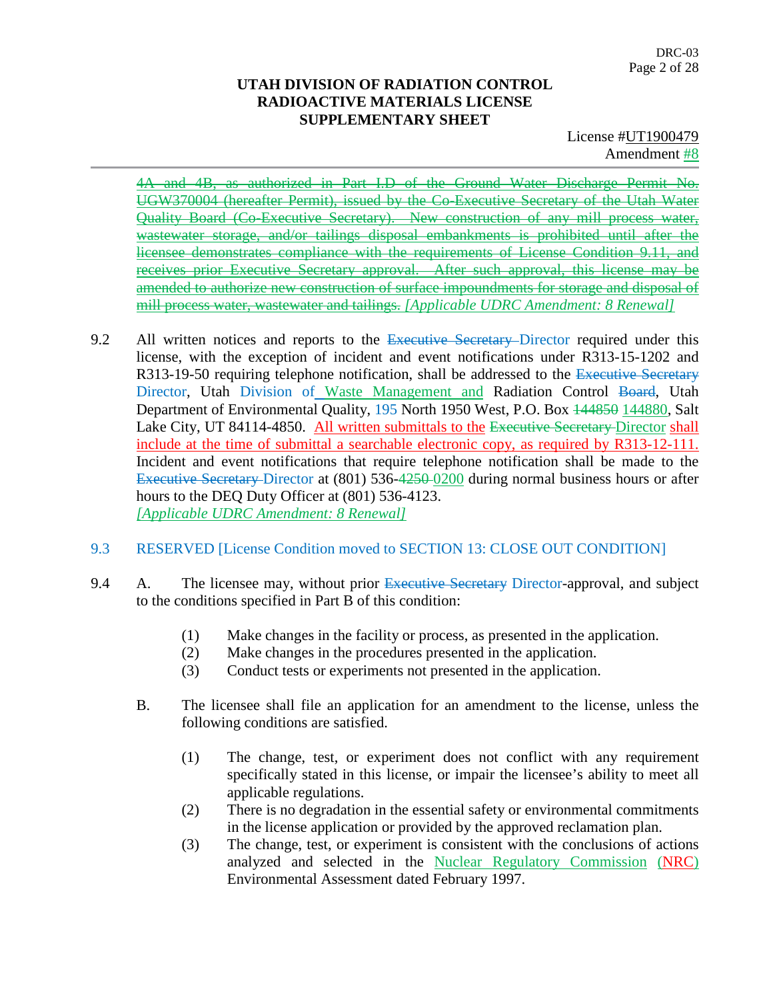License #UT1900479 Amendment #8

4A and 4B, as authorized in Part I.D of the Ground Water Discharge Permit No. UGW370004 (hereafter Permit), issued by the Co-Executive Secretary of the Utah Water Quality Board (Co-Executive Secretary). New construction of any mill process water, wastewater storage, and/or tailings disposal embankments is prohibited until after the licensee demonstrates compliance with the requirements of License Condition 9.11, and receives prior Executive Secretary approval. After such approval, this license may be amended to authorize new construction of surface impoundments for storage and disposal of mill process water, wastewater and tailings. *[Applicable UDRC Amendment: 8 Renewal]*

- 9.2 All written notices and reports to the Executive Secretary–Director required under this license, with the exception of incident and event notifications under R313-15-1202 and R313-19-50 requiring telephone notification, shall be addressed to the Executive Secretary Director, Utah Division of Waste Management and Radiation Control Board, Utah Department of Environmental Quality, 195 North 1950 West, P.O. Box  $\frac{144850}{144880}$ , Salt Lake City, UT 84114-4850. All written submittals to the Executive Secretary-Director shall include at the time of submittal a searchable electronic copy, as required by R313-12-111. Incident and event notifications that require telephone notification shall be made to the Executive Secretary Director at (801) 536-4250 0200 during normal business hours or after hours to the DEQ Duty Officer at (801) 536-4123. *[Applicable UDRC Amendment: 8 Renewal]*
- 9.3 RESERVED [License Condition moved to SECTION 13: CLOSE OUT CONDITION]
- 9.4 A. The licensee may, without prior Executive Secretary Director-approval, and subject to the conditions specified in Part B of this condition:
	- (1) Make changes in the facility or process, as presented in the application.
	- (2) Make changes in the procedures presented in the application.
	- (3) Conduct tests or experiments not presented in the application.
	- B. The licensee shall file an application for an amendment to the license, unless the following conditions are satisfied.
		- (1) The change, test, or experiment does not conflict with any requirement specifically stated in this license, or impair the licensee's ability to meet all applicable regulations.
		- (2) There is no degradation in the essential safety or environmental commitments in the license application or provided by the approved reclamation plan.
		- (3) The change, test, or experiment is consistent with the conclusions of actions analyzed and selected in the Nuclear Regulatory Commission (NRC) Environmental Assessment dated February 1997.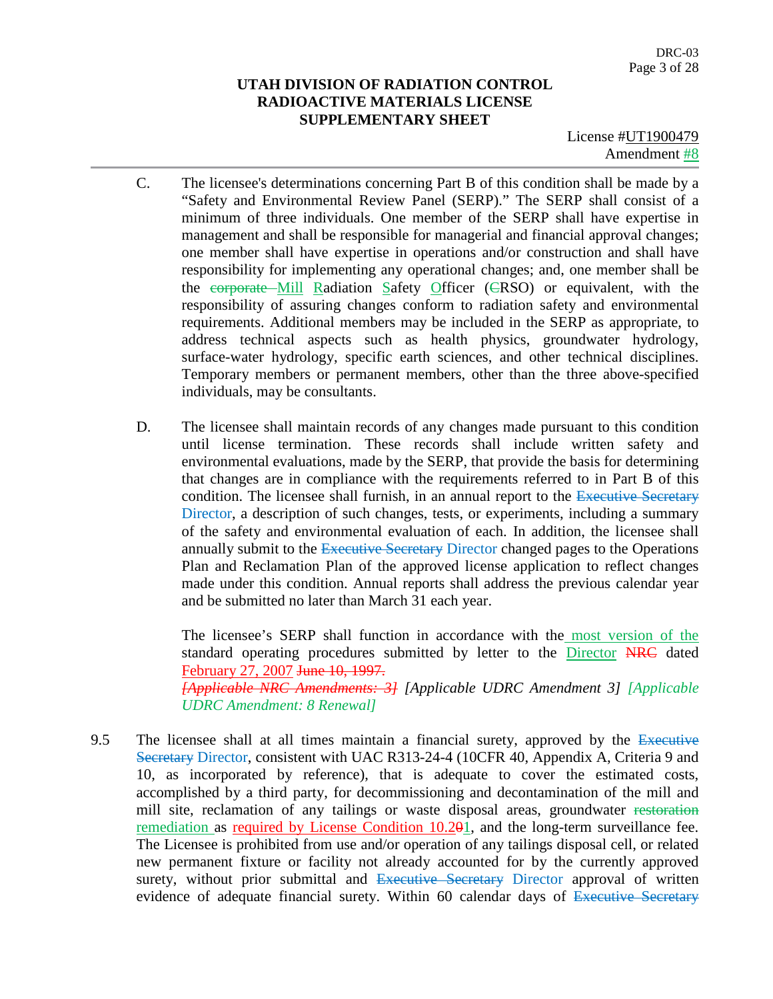License #UT1900479 Amendment #8

- C. The licensee's determinations concerning Part B of this condition shall be made by a "Safety and Environmental Review Panel (SERP)." The SERP shall consist of a minimum of three individuals. One member of the SERP shall have expertise in management and shall be responsible for managerial and financial approval changes; one member shall have expertise in operations and/or construction and shall have responsibility for implementing any operational changes; and, one member shall be the corporate Mill Radiation Safety Officer (CRSO) or equivalent, with the responsibility of assuring changes conform to radiation safety and environmental requirements. Additional members may be included in the SERP as appropriate, to address technical aspects such as health physics, groundwater hydrology, surface-water hydrology, specific earth sciences, and other technical disciplines. Temporary members or permanent members, other than the three above-specified individuals, may be consultants.
- D. The licensee shall maintain records of any changes made pursuant to this condition until license termination. These records shall include written safety and environmental evaluations, made by the SERP, that provide the basis for determining that changes are in compliance with the requirements referred to in Part B of this condition. The licensee shall furnish, in an annual report to the Executive Secretary Director, a description of such changes, tests, or experiments, including a summary of the safety and environmental evaluation of each. In addition, the licensee shall annually submit to the Executive Secretary Director changed pages to the Operations Plan and Reclamation Plan of the approved license application to reflect changes made under this condition. Annual reports shall address the previous calendar year and be submitted no later than March 31 each year.

The licensee's SERP shall function in accordance with the most version of the standard operating procedures submitted by letter to the Director NRC dated February 27, 2007 June 10, 1997. *[Applicable NRC Amendments: 3] [Applicable UDRC Amendment 3] [Applicable UDRC Amendment: 8 Renewal]*

9.5 The licensee shall at all times maintain a financial surety, approved by the Executive Secretary Director, consistent with UAC R313-24-4 (10CFR 40, Appendix A, Criteria 9 and 10, as incorporated by reference), that is adequate to cover the estimated costs, accomplished by a third party, for decommissioning and decontamination of the mill and mill site, reclamation of any tailings or waste disposal areas, groundwater restoration remediation as required by License Condition 10.201, and the long-term surveillance fee. The Licensee is prohibited from use and/or operation of any tailings disposal cell, or related new permanent fixture or facility not already accounted for by the currently approved surety, without prior submittal and Executive Secretary Director approval of written evidence of adequate financial surety. Within 60 calendar days of Executive Secretary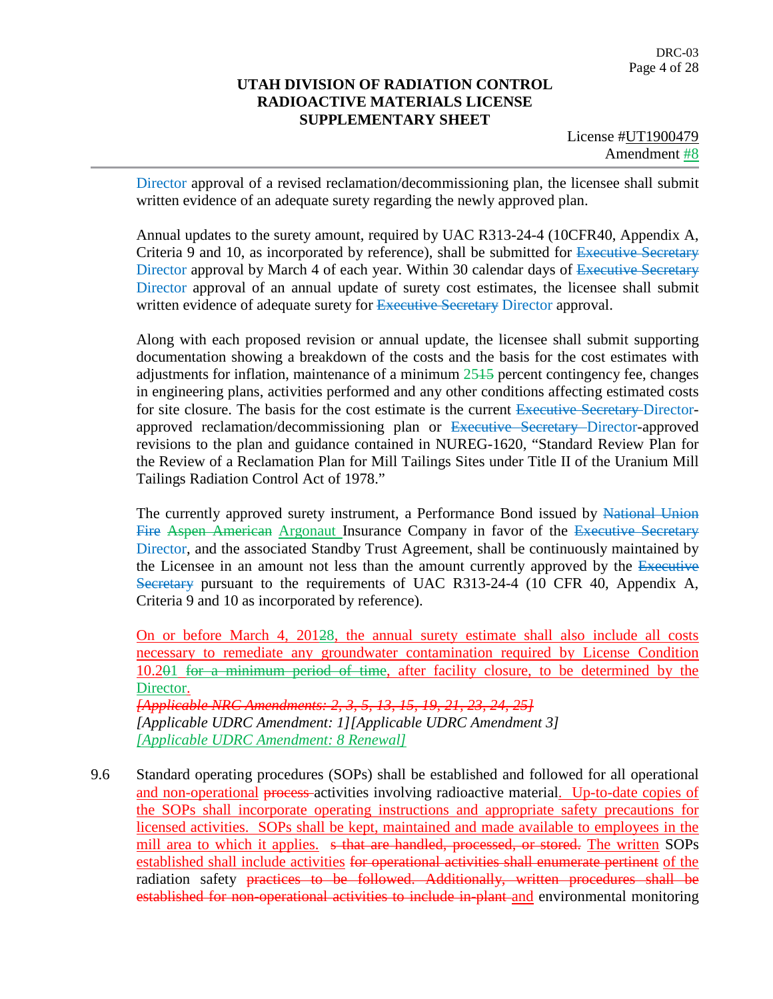License #UT1900479 Amendment #8

Director approval of a revised reclamation/decommissioning plan, the licensee shall submit written evidence of an adequate surety regarding the newly approved plan.

Annual updates to the surety amount, required by UAC R313-24-4 (10CFR40, Appendix A, Criteria 9 and 10, as incorporated by reference), shall be submitted for Executive Secretary Director approval by March 4 of each year. Within 30 calendar days of Executive Secretary Director approval of an annual update of surety cost estimates, the licensee shall submit written evidence of adequate surety for Executive Secretary Director approval.

Along with each proposed revision or annual update, the licensee shall submit supporting documentation showing a breakdown of the costs and the basis for the cost estimates with adjustments for inflation, maintenance of a minimum 2515 percent contingency fee, changes in engineering plans, activities performed and any other conditions affecting estimated costs for site closure. The basis for the cost estimate is the current Executive Secretary Directorapproved reclamation/decommissioning plan or Executive Secretary Director-approved revisions to the plan and guidance contained in NUREG-1620, "Standard Review Plan for the Review of a Reclamation Plan for Mill Tailings Sites under Title II of the Uranium Mill Tailings Radiation Control Act of 1978."

The currently approved surety instrument, a Performance Bond issued by National Union Fire Aspen American Argonaut Insurance Company in favor of the Executive Secretary Director, and the associated Standby Trust Agreement, shall be continuously maintained by the Licensee in an amount not less than the amount currently approved by the Executive Secretary pursuant to the requirements of UAC R313-24-4 (10 CFR 40, Appendix A, Criteria 9 and 10 as incorporated by reference).

On or before March 4, 20128, the annual surety estimate shall also include all costs necessary to remediate any groundwater contamination required by License Condition 10.201 for a minimum period of time, after facility closure, to be determined by the Director. *[Applicable NRC Amendments: 2, 3, 5, 13, 15, 19, 21, 23, 24, 25]*

*[Applicable UDRC Amendment: 1][Applicable UDRC Amendment 3] [Applicable UDRC Amendment: 8 Renewal]*

9.6 Standard operating procedures (SOPs) shall be established and followed for all operational and non-operational process activities involving radioactive material. Up-to-date copies of the SOPs shall incorporate operating instructions and appropriate safety precautions for licensed activities. SOPs shall be kept, maintained and made available to employees in the mill area to which it applies. s that are handled, processed, or stored. The written SOPs established shall include activities for operational activities shall enumerate pertinent of the radiation safety practices to be followed. Additionally, written procedures shall be established for non-operational activities to include in-plant and environmental monitoring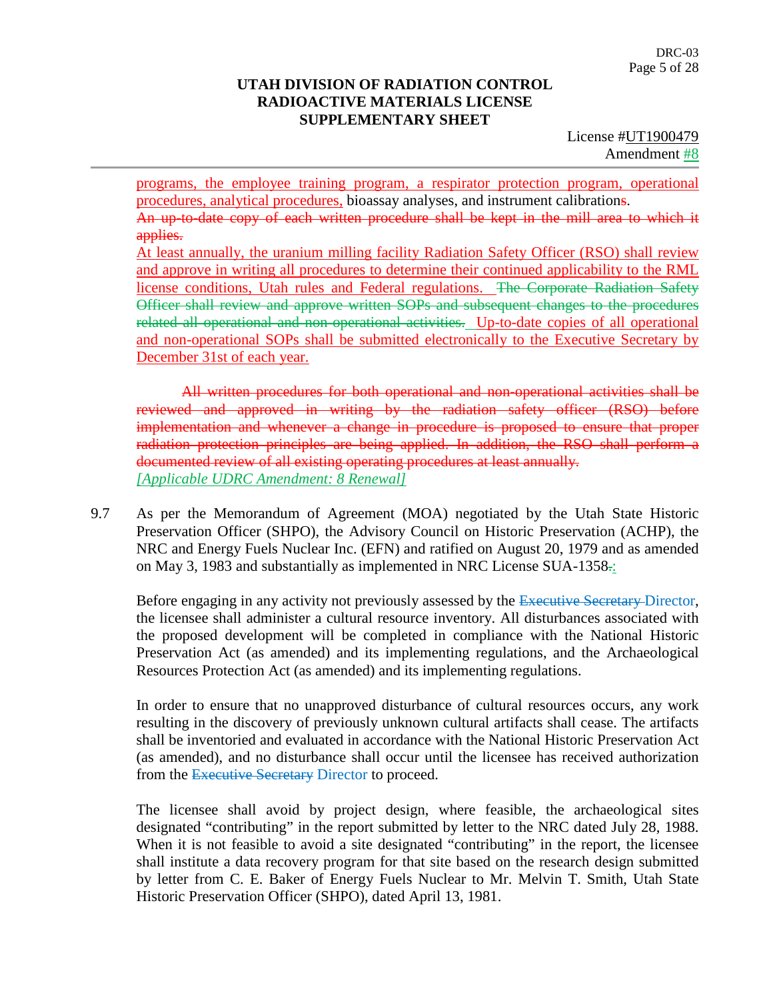License #UT1900479 Amendment #8

programs, the employee training program, a respirator protection program, operational procedures, analytical procedures, bioassay analyses, and instrument calibrations. An up-to-date copy of each written procedure shall be kept in the mill area to which it applies.

At least annually, the uranium milling facility Radiation Safety Officer (RSO) shall review and approve in writing all procedures to determine their continued applicability to the RML license conditions, Utah rules and Federal regulations. The Corporate Radiation Safety Officer shall review and approve written SOPs and subsequent changes to the procedures related all operational and non-operational activities. Up-to-date copies of all operational and non-operational SOPs shall be submitted electronically to the Executive Secretary by December 31st of each year.

All written procedures for both operational and non-operational activities shall be reviewed and approved in writing by the radiation safety officer (RSO) before implementation and whenever a change in procedure is proposed to ensure that proper radiation protection principles are being applied. In addition, the RSO shall perform a documented review of all existing operating procedures at least annually. *[Applicable UDRC Amendment: 8 Renewal]*

9.7 As per the Memorandum of Agreement (MOA) negotiated by the Utah State Historic Preservation Officer (SHPO), the Advisory Council on Historic Preservation (ACHP), the NRC and Energy Fuels Nuclear Inc. (EFN) and ratified on August 20, 1979 and as amended on May 3, 1983 and substantially as implemented in NRC License SUA-1358.:

Before engaging in any activity not previously assessed by the Executive Secretary Director, the licensee shall administer a cultural resource inventory. All disturbances associated with the proposed development will be completed in compliance with the National Historic Preservation Act (as amended) and its implementing regulations, and the Archaeological Resources Protection Act (as amended) and its implementing regulations.

In order to ensure that no unapproved disturbance of cultural resources occurs, any work resulting in the discovery of previously unknown cultural artifacts shall cease. The artifacts shall be inventoried and evaluated in accordance with the National Historic Preservation Act (as amended), and no disturbance shall occur until the licensee has received authorization from the Executive Secretary Director to proceed.

The licensee shall avoid by project design, where feasible, the archaeological sites designated "contributing" in the report submitted by letter to the NRC dated July 28, 1988. When it is not feasible to avoid a site designated "contributing" in the report, the licensee shall institute a data recovery program for that site based on the research design submitted by letter from C. E. Baker of Energy Fuels Nuclear to Mr. Melvin T. Smith, Utah State Historic Preservation Officer (SHPO), dated April 13, 1981.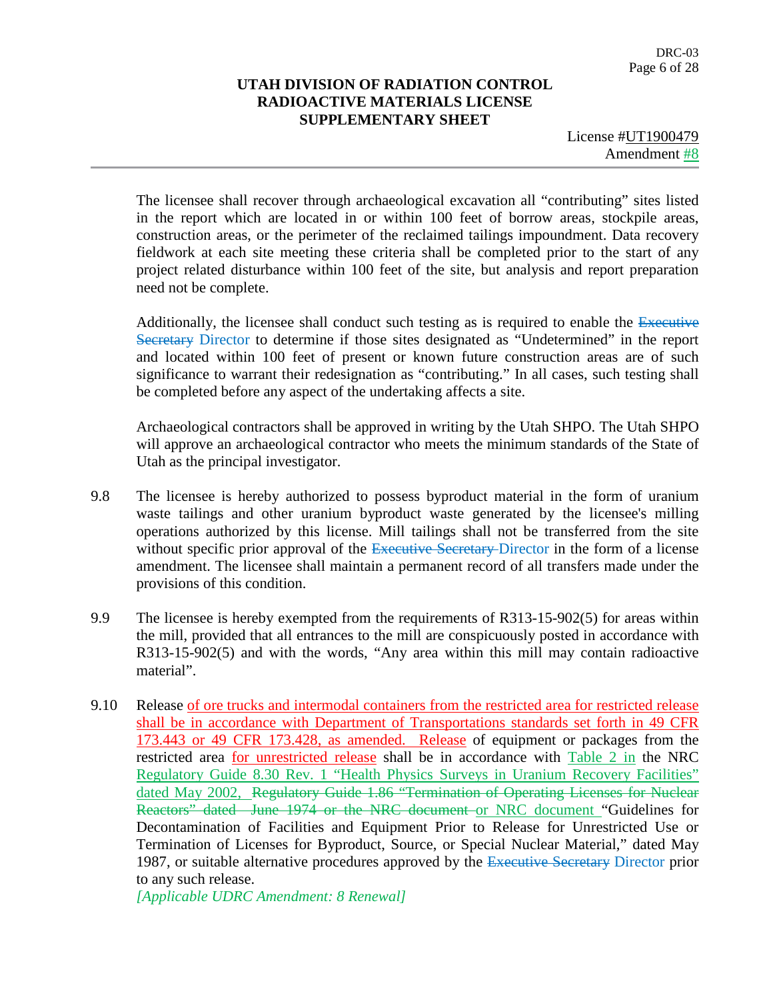License #UT1900479 Amendment #8

The licensee shall recover through archaeological excavation all "contributing" sites listed in the report which are located in or within 100 feet of borrow areas, stockpile areas, construction areas, or the perimeter of the reclaimed tailings impoundment. Data recovery fieldwork at each site meeting these criteria shall be completed prior to the start of any project related disturbance within 100 feet of the site, but analysis and report preparation need not be complete.

Additionally, the licensee shall conduct such testing as is required to enable the Executive Secretary Director to determine if those sites designated as "Undetermined" in the report and located within 100 feet of present or known future construction areas are of such significance to warrant their redesignation as "contributing." In all cases, such testing shall be completed before any aspect of the undertaking affects a site.

Archaeological contractors shall be approved in writing by the Utah SHPO. The Utah SHPO will approve an archaeological contractor who meets the minimum standards of the State of Utah as the principal investigator.

- 9.8 The licensee is hereby authorized to possess byproduct material in the form of uranium waste tailings and other uranium byproduct waste generated by the licensee's milling operations authorized by this license. Mill tailings shall not be transferred from the site without specific prior approval of the Executive Secretary-Director in the form of a license amendment. The licensee shall maintain a permanent record of all transfers made under the provisions of this condition.
- 9.9 The licensee is hereby exempted from the requirements of R313-15-902(5) for areas within the mill, provided that all entrances to the mill are conspicuously posted in accordance with R313-15-902(5) and with the words, "Any area within this mill may contain radioactive material".
- 9.10 Release of ore trucks and intermodal containers from the restricted area for restricted release shall be in accordance with Department of Transportations standards set forth in 49 CFR 173.443 or 49 CFR 173.428, as amended. Release of equipment or packages from the restricted area for unrestricted release shall be in accordance with Table 2 in the NRC Regulatory Guide 8.30 Rev. 1 "Health Physics Surveys in Uranium Recovery Facilities" dated May 2002, Regulatory Guide 1.86 "Termination of Operating Licenses for Nuclear Reactors" dated June 1974 or the NRC document or NRC document "Guidelines for Decontamination of Facilities and Equipment Prior to Release for Unrestricted Use or Termination of Licenses for Byproduct, Source, or Special Nuclear Material," dated May 1987, or suitable alternative procedures approved by the Executive Secretary Director prior to any such release.

*[Applicable UDRC Amendment: 8 Renewal]*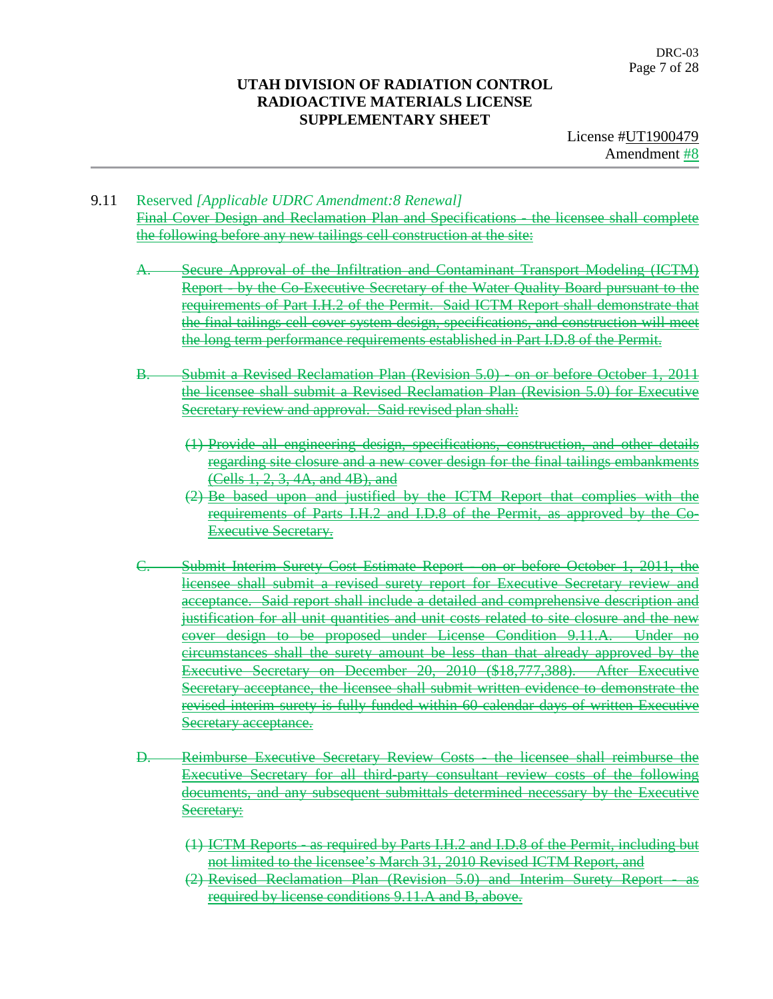License #UT1900479 Amendment #8

- 9.11 Reserved *[Applicable UDRC Amendment:8 Renewal]* Final Cover Design and Reclamation Plan and Specifications - the licensee shall complete the following before any new tailings cell construction at the site:
	- A. Secure Approval of the Infiltration and Contaminant Transport Modeling (ICTM) Report - by the Co-Executive Secretary of the Water Quality Board pursuant to the requirements of Part I.H.2 of the Permit. Said ICTM Report shall demonstrate that the final tailings cell cover system design, specifications, and construction will meet the long term performance requirements established in Part I.D.8 of the Permit.
	- B. Submit a Revised Reclamation Plan (Revision 5.0) on or before October 1, 2011 the licensee shall submit a Revised Reclamation Plan (Revision 5.0) for Executive Secretary review and approval. Said revised plan shall:
		- (1) Provide all engineering design, specifications, construction, and other details regarding site closure and a new cover design for the final tailings embankments (Cells 1, 2, 3, 4A, and 4B), and
		- (2) Be based upon and justified by the ICTM Report that complies with the requirements of Parts I.H.2 and I.D.8 of the Permit, as approved by the Co-Executive Secretary.
	- C. Submit Interim Surety Cost Estimate Report on or before October 1, 2011, the licensee shall submit a revised surety report for Executive Secretary review and acceptance. Said report shall include a detailed and comprehensive description and justification for all unit quantities and unit costs related to site closure and the new cover design to be proposed under License Condition 9.11.A. Under no circumstances shall the surety amount be less than that already approved by the Executive Secretary on December 20, 2010 (\$18,777,388). After Executive Secretary acceptance, the licensee shall submit written evidence to demonstrate the revised interim surety is fully funded within 60 calendar days of written Executive Secretary acceptance.
	- D. Reimburse Executive Secretary Review Costs the licensee shall reimburse the Executive Secretary for all third-party consultant review costs of the following documents, and any subsequent submittals determined necessary by the Executive Secretary:
		- (1) ICTM Reports as required by Parts I.H.2 and I.D.8 of the Permit, including but not limited to the licensee's March 31, 2010 Revised ICTM Report, and
		- (2) Revised Reclamation Plan (Revision 5.0) and Interim Surety Report required by license conditions 9.11.A and B, above.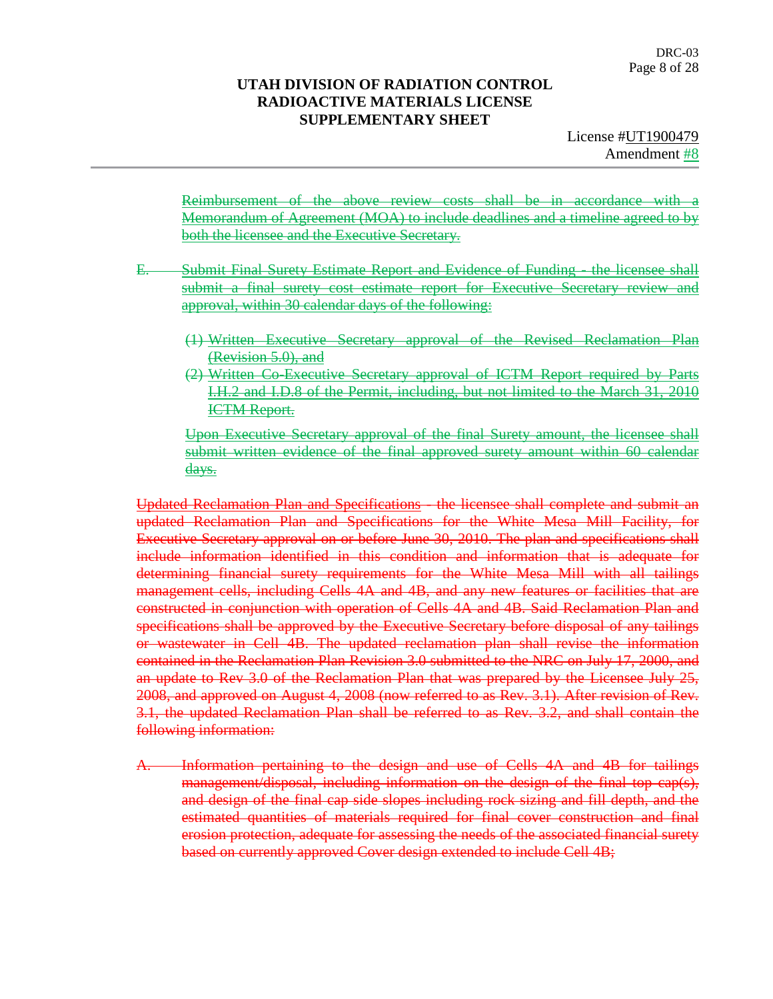Reimbursement of the above review costs shall be in accordance with a Memorandum of Agreement (MOA) to include deadlines and a timeline agreed to by both the licensee and the Executive Secretary.

- E. Submit Final Surety Estimate Report and Evidence of Funding the licensee shall submit a final surety cost estimate report for Executive Secretary review and approval, within 30 calendar days of the following:
	- (1) Written Executive Secretary approval of the Revised Reclamation Plan (Revision 5.0), and
	- (2) Written Co-Executive Secretary approval of ICTM Report required by Parts I.H.2 and I.D.8 of the Permit, including, but not limited to the March 31, 2010 ICTM Report.

Upon Executive Secretary approval of the final Surety amount, the licensee shall submit written evidence of the final approved surety amount within 60 calendar days.

Updated Reclamation Plan and Specifications - the licensee shall complete and submit an updated Reclamation Plan and Specifications for the White Mesa Mill Facility, for Executive Secretary approval on or before June 30, 2010. The plan and specifications shall include information identified in this condition and information that is adequate for determining financial surety requirements for the White Mesa Mill with all tailings management cells, including Cells 4A and 4B, and any new features or facilities that are constructed in conjunction with operation of Cells 4A and 4B. Said Reclamation Plan and specifications shall be approved by the Executive Secretary before disposal of any tailings or wastewater in Cell 4B. The updated reclamation plan shall revise the information contained in the Reclamation Plan Revision 3.0 submitted to the NRC on July 17, 2000, and an update to Rev 3.0 of the Reclamation Plan that was prepared by the Licensee July 25, 2008, and approved on August 4, 2008 (now referred to as Rev. 3.1). After revision of Rev. 3.1, the updated Reclamation Plan shall be referred to as Rev. 3.2, and shall contain the following information:

A. Information pertaining to the design and use of Cells 4A and 4B for tailings management/disposal, including information on the design of the final top cap(s), and design of the final cap side slopes including rock sizing and fill depth, and the estimated quantities of materials required for final cover construction and final erosion protection, adequate for assessing the needs of the associated financial surety based on currently approved Cover design extended to include Cell 4B;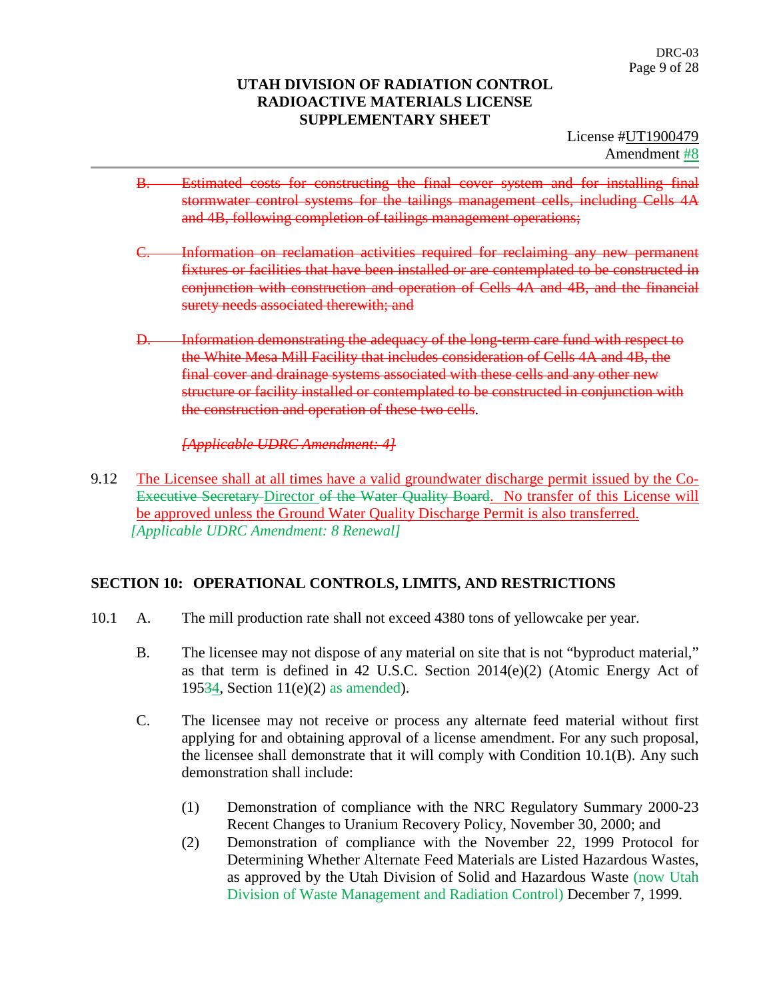License #UT1900479 Amendment #8

- B. Estimated costs for constructing the final cover system and for installing final stormwater control systems for the tailings management cells, including Cells 4A and 4B, following completion of tailings management operations;
- C. Information on reclamation activities required for reclaiming any new permanent fixtures or facilities that have been installed or are contemplated to be constructed in conjunction with construction and operation of Cells 4A and 4B, and the financial surety needs associated therewith; and
- D. Information demonstrating the adequacy of the long-term care fund with respect to the White Mesa Mill Facility that includes consideration of Cells 4A and 4B, the final cover and drainage systems associated with these cells and any other new structure or facility installed or contemplated to be constructed in conjunction with the construction and operation of these two cells.

*[Applicable UDRC Amendment: 4]*

9.12 The Licensee shall at all times have a valid groundwater discharge permit issued by the Co-Executive Secretary Director of the Water Quality Board. No transfer of this License will be approved unless the Ground Water Quality Discharge Permit is also transferred. *[Applicable UDRC Amendment: 8 Renewal]*

# **SECTION 10: OPERATIONAL CONTROLS, LIMITS, AND RESTRICTIONS**

- 10.1 A. The mill production rate shall not exceed 4380 tons of yellowcake per year.
	- B. The licensee may not dispose of any material on site that is not "byproduct material," as that term is defined in 42 U.S.C. Section 2014(e)(2) (Atomic Energy Act of 19534, Section 11(e)(2) as amended).
	- C. The licensee may not receive or process any alternate feed material without first applying for and obtaining approval of a license amendment. For any such proposal, the licensee shall demonstrate that it will comply with Condition 10.1(B). Any such demonstration shall include:
		- (1) Demonstration of compliance with the NRC Regulatory Summary 2000-23 Recent Changes to Uranium Recovery Policy, November 30, 2000; and
		- (2) Demonstration of compliance with the November 22, 1999 Protocol for Determining Whether Alternate Feed Materials are Listed Hazardous Wastes, as approved by the Utah Division of Solid and Hazardous Waste (now Utah Division of Waste Management and Radiation Control) December 7, 1999.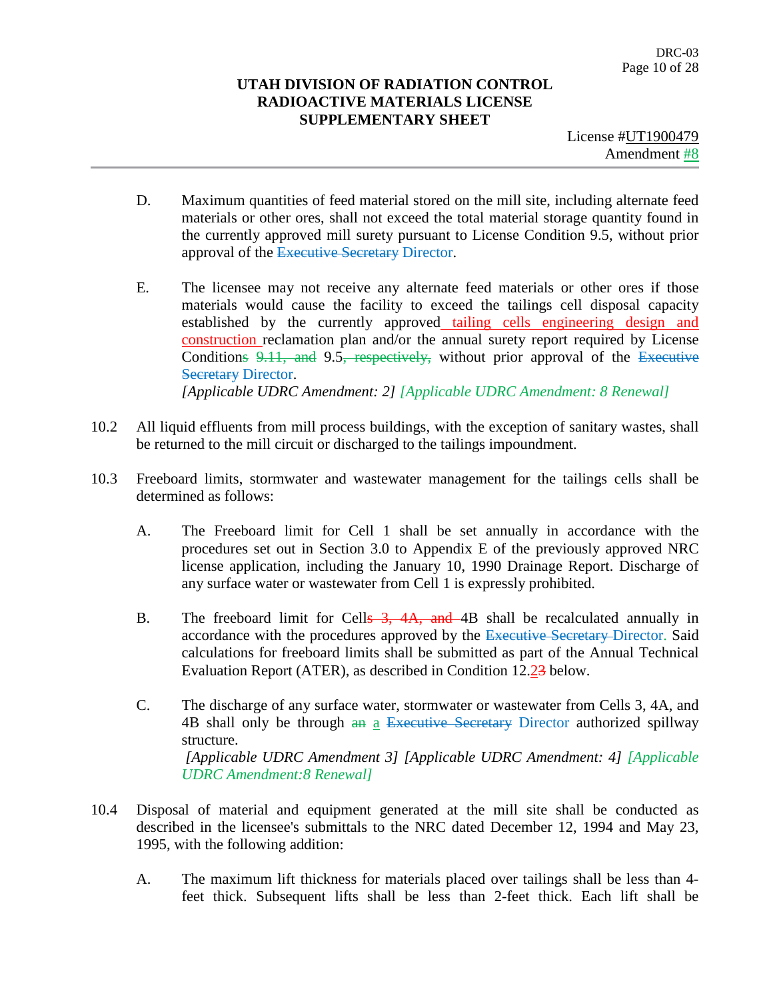License #UT1900479 Amendment #8

- D. Maximum quantities of feed material stored on the mill site, including alternate feed materials or other ores, shall not exceed the total material storage quantity found in the currently approved mill surety pursuant to License Condition 9.5, without prior approval of the Executive Secretary Director.
- E. The licensee may not receive any alternate feed materials or other ores if those materials would cause the facility to exceed the tailings cell disposal capacity established by the currently approved tailing cells engineering design and construction reclamation plan and/or the annual surety report required by License Conditions 9.11, and 9.5, respectively, without prior approval of the Executive **Secretary Director.** *[Applicable UDRC Amendment: 2] [Applicable UDRC Amendment: 8 Renewal]*
- 10.2 All liquid effluents from mill process buildings, with the exception of sanitary wastes, shall be returned to the mill circuit or discharged to the tailings impoundment.
- 10.3 Freeboard limits, stormwater and wastewater management for the tailings cells shall be determined as follows:
	- A. The Freeboard limit for Cell 1 shall be set annually in accordance with the procedures set out in Section 3.0 to Appendix E of the previously approved NRC license application, including the January 10, 1990 Drainage Report. Discharge of any surface water or wastewater from Cell 1 is expressly prohibited.
	- B. The freeboard limit for Cells 3, 4A, and 4B shall be recalculated annually in accordance with the procedures approved by the Executive Secretary-Director. Said calculations for freeboard limits shall be submitted as part of the Annual Technical Evaluation Report (ATER), as described in Condition 12.23 below.
	- C. The discharge of any surface water, stormwater or wastewater from Cells 3, 4A, and 4B shall only be through an a Executive Secretary Director authorized spillway structure. *[Applicable UDRC Amendment 3] [Applicable UDRC Amendment: 4] [Applicable UDRC Amendment:8 Renewal]*
- 10.4 Disposal of material and equipment generated at the mill site shall be conducted as described in the licensee's submittals to the NRC dated December 12, 1994 and May 23, 1995, with the following addition:
	- A. The maximum lift thickness for materials placed over tailings shall be less than 4 feet thick. Subsequent lifts shall be less than 2-feet thick. Each lift shall be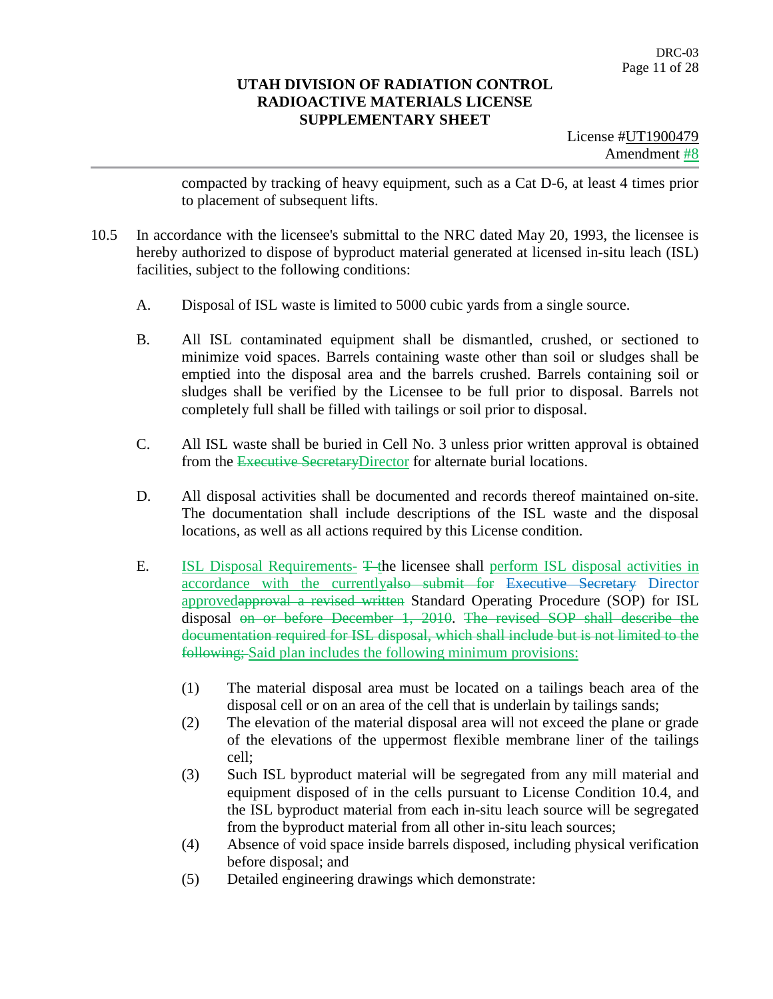License #UT1900479 Amendment #8

compacted by tracking of heavy equipment, such as a Cat D-6, at least 4 times prior to placement of subsequent lifts.

- 10.5 In accordance with the licensee's submittal to the NRC dated May 20, 1993, the licensee is hereby authorized to dispose of byproduct material generated at licensed in-situ leach (ISL) facilities, subject to the following conditions:
	- A. Disposal of ISL waste is limited to 5000 cubic yards from a single source.
	- B. All ISL contaminated equipment shall be dismantled, crushed, or sectioned to minimize void spaces. Barrels containing waste other than soil or sludges shall be emptied into the disposal area and the barrels crushed. Barrels containing soil or sludges shall be verified by the Licensee to be full prior to disposal. Barrels not completely full shall be filled with tailings or soil prior to disposal.
	- C. All ISL waste shall be buried in Cell No. 3 unless prior written approval is obtained from the Executive Secretary Director for alternate burial locations.
	- D. All disposal activities shall be documented and records thereof maintained on-site. The documentation shall include descriptions of the ISL waste and the disposal locations, as well as all actions required by this License condition.
	- E. **ISL Disposal Requirements-** T-the licensee shall perform ISL disposal activities in accordance with the currentlyalso submit for Executive Secretary Director approvedapproval a revised written Standard Operating Procedure (SOP) for ISL disposal on or before December 1, 2010. The revised SOP shall describe the documentation required for ISL disposal, which shall include but is not limited to the following; Said plan includes the following minimum provisions:
		- (1) The material disposal area must be located on a tailings beach area of the disposal cell or on an area of the cell that is underlain by tailings sands;
		- (2) The elevation of the material disposal area will not exceed the plane or grade of the elevations of the uppermost flexible membrane liner of the tailings cell;
		- (3) Such ISL byproduct material will be segregated from any mill material and equipment disposed of in the cells pursuant to License Condition 10.4, and the ISL byproduct material from each in-situ leach source will be segregated from the byproduct material from all other in-situ leach sources;
		- (4) Absence of void space inside barrels disposed, including physical verification before disposal; and
		- (5) Detailed engineering drawings which demonstrate: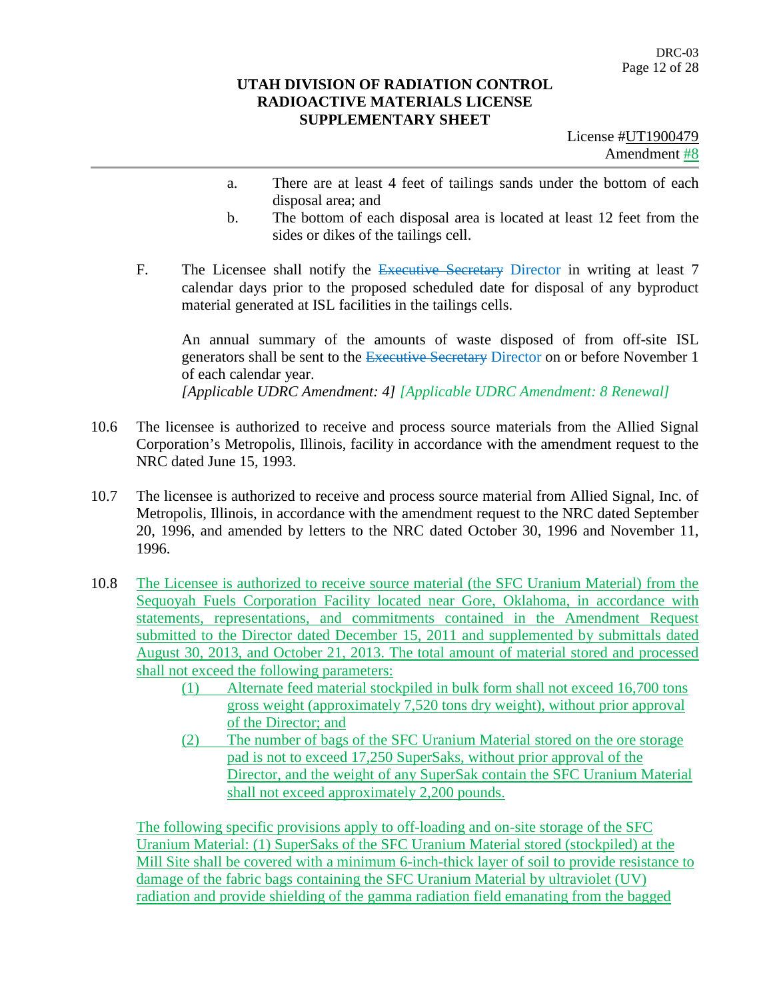License #UT1900479 Amendment #8

- a. There are at least 4 feet of tailings sands under the bottom of each disposal area; and
- b. The bottom of each disposal area is located at least 12 feet from the sides or dikes of the tailings cell.
- F. The Licensee shall notify the Executive Secretary Director in writing at least 7 calendar days prior to the proposed scheduled date for disposal of any byproduct material generated at ISL facilities in the tailings cells.

An annual summary of the amounts of waste disposed of from off-site ISL generators shall be sent to the Executive Secretary Director on or before November 1 of each calendar year. *[Applicable UDRC Amendment: 4] [Applicable UDRC Amendment: 8 Renewal]*

- 10.6 The licensee is authorized to receive and process source materials from the Allied Signal Corporation's Metropolis, Illinois, facility in accordance with the amendment request to the NRC dated June 15, 1993.
- 10.7 The licensee is authorized to receive and process source material from Allied Signal, Inc. of Metropolis, Illinois, in accordance with the amendment request to the NRC dated September 20, 1996, and amended by letters to the NRC dated October 30, 1996 and November 11, 1996.
- 10.8 The Licensee is authorized to receive source material (the SFC Uranium Material) from the Sequoyah Fuels Corporation Facility located near Gore, Oklahoma, in accordance with statements, representations, and commitments contained in the Amendment Request submitted to the Director dated December 15, 2011 and supplemented by submittals dated August 30, 2013, and October 21, 2013. The total amount of material stored and processed shall not exceed the following parameters:
	- (1) Alternate feed material stockpiled in bulk form shall not exceed 16,700 tons gross weight (approximately 7,520 tons dry weight), without prior approval of the Director; and
	- (2) The number of bags of the SFC Uranium Material stored on the ore storage pad is not to exceed 17,250 SuperSaks, without prior approval of the Director, and the weight of any SuperSak contain the SFC Uranium Material shall not exceed approximately 2,200 pounds.

The following specific provisions apply to off-loading and on-site storage of the SFC Uranium Material: (1) SuperSaks of the SFC Uranium Material stored (stockpiled) at the Mill Site shall be covered with a minimum 6-inch-thick layer of soil to provide resistance to damage of the fabric bags containing the SFC Uranium Material by ultraviolet (UV) radiation and provide shielding of the gamma radiation field emanating from the bagged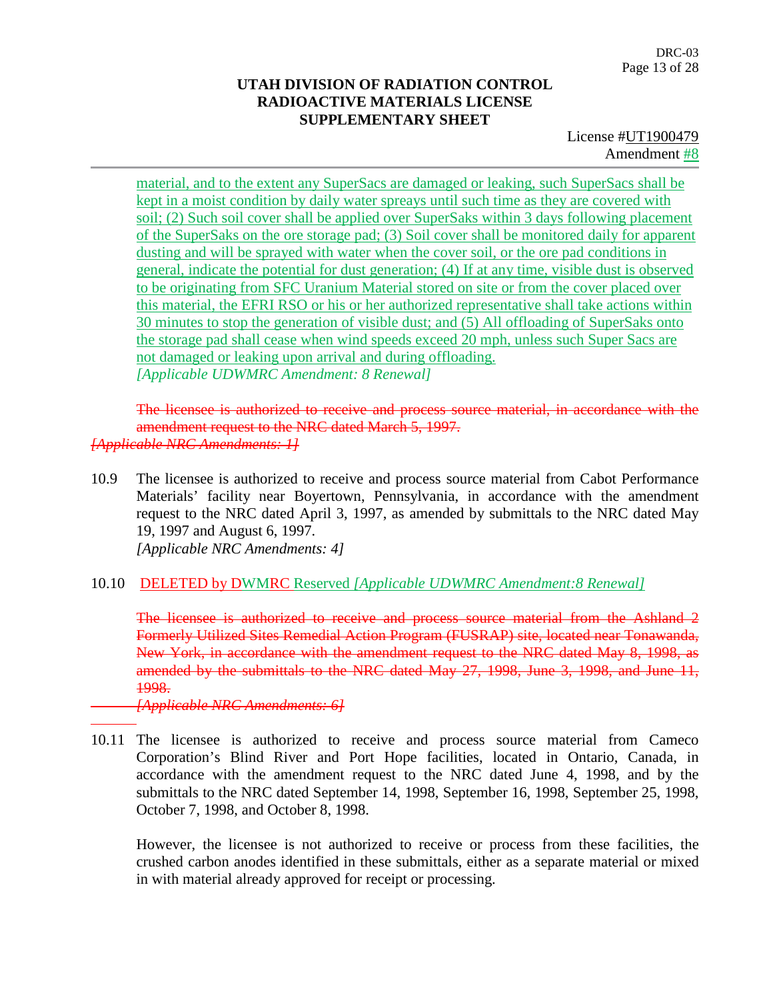License #UT1900479 Amendment #8

material, and to the extent any SuperSacs are damaged or leaking, such SuperSacs shall be kept in a moist condition by daily water spreays until such time as they are covered with soil; (2) Such soil cover shall be applied over SuperSaks within 3 days following placement of the SuperSaks on the ore storage pad; (3) Soil cover shall be monitored daily for apparent dusting and will be sprayed with water when the cover soil, or the ore pad conditions in general, indicate the potential for dust generation; (4) If at any time, visible dust is observed to be originating from SFC Uranium Material stored on site or from the cover placed over this material, the EFRI RSO or his or her authorized representative shall take actions within 30 minutes to stop the generation of visible dust; and (5) All offloading of SuperSaks onto the storage pad shall cease when wind speeds exceed 20 mph, unless such Super Sacs are not damaged or leaking upon arrival and during offloading. *[Applicable UDWMRC Amendment: 8 Renewal]*

The licensee is authorized to receive and process source material, in accordance with the amendment request to the NRC dated March 5, 1997. *[Applicable NRC Amendments: 1]*

- 10.9 The licensee is authorized to receive and process source material from Cabot Performance Materials' facility near Boyertown, Pennsylvania, in accordance with the amendment request to the NRC dated April 3, 1997, as amended by submittals to the NRC dated May 19, 1997 and August 6, 1997. *[Applicable NRC Amendments: 4]*
- 10.10 DELETED by DWMRC Reserved *[Applicable UDWMRC Amendment:8 Renewal]*

The licensee is authorized to receive and process source material from the Ashland 2 Formerly Utilized Sites Remedial Action Program (FUSRAP) site, located near Tonawanda, New York, in accordance with the amendment request to the NRC dated May 8, 1998, as amended by the submittals to the NRC dated May 27, 1998, June 3, 1998, and June 11, 1998.

*[Applicable NRC Amendments: 6]*

10.11 The licensee is authorized to receive and process source material from Cameco Corporation's Blind River and Port Hope facilities, located in Ontario, Canada, in accordance with the amendment request to the NRC dated June 4, 1998, and by the submittals to the NRC dated September 14, 1998, September 16, 1998, September 25, 1998, October 7, 1998, and October 8, 1998.

However, the licensee is not authorized to receive or process from these facilities, the crushed carbon anodes identified in these submittals, either as a separate material or mixed in with material already approved for receipt or processing.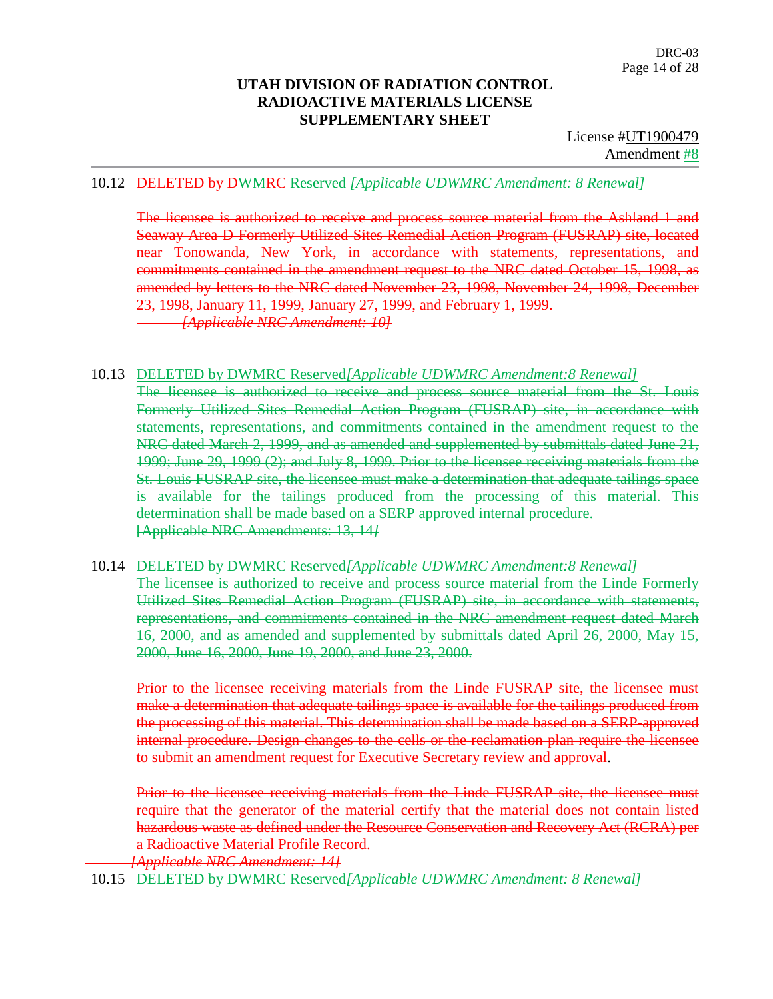License #UT1900479 Amendment #8

#### 10.12 DELETED by DWMRC Reserved *[Applicable UDWMRC Amendment: 8 Renewal]*

The licensee is authorized to receive and process source material from the Ashland 1 and Seaway Area D Formerly Utilized Sites Remedial Action Program (FUSRAP) site, located near Tonowanda, New York, in accordance with statements, representations, and commitments contained in the amendment request to the NRC dated October 15, 1998, as amended by letters to the NRC dated November 23, 1998, November 24, 1998, December 23, 1998, January 11, 1999, January 27, 1999, and February 1, 1999. *[Applicable NRC Amendment: 10]*

#### 10.13 DELETED by DWMRC Reserved*[Applicable UDWMRC Amendment:8 Renewal]*

The licensee is authorized to receive and process source material from the St. Louis Formerly Utilized Sites Remedial Action Program (FUSRAP) site, in accordance with statements, representations, and commitments contained in the amendment request to the NRC dated March 2, 1999, and as amended and supplemented by submittals dated June 21, 1999; June 29, 1999 (2); and July 8, 1999. Prior to the licensee receiving materials from the St. Louis FUSRAP site, the licensee must make a determination that adequate tailings space is available for the tailings produced from the processing of this material. This determination shall be made based on a SERP approved internal procedure. [Applicable NRC Amendments: 13, 14*]*

#### 10.14 DELETED by DWMRC Reserved*[Applicable UDWMRC Amendment:8 Renewal]*

The licensee is authorized to receive and process source material from the Linde Formerly Utilized Sites Remedial Action Program (FUSRAP) site, in accordance with statements, representations, and commitments contained in the NRC amendment request dated March 16, 2000, and as amended and supplemented by submittals dated April 26, 2000, May 15, 2000, June 16, 2000, June 19, 2000, and June 23, 2000.

Prior to the licensee receiving materials from the Linde FUSRAP site, the licensee must make a determination that adequate tailings space is available for the tailings produced from the processing of this material. This determination shall be made based on a SERP-approved internal procedure. Design changes to the cells or the reclamation plan require the licensee to submit an amendment request for Executive Secretary review and approval.

Prior to the licensee receiving materials from the Linde FUSRAP site, the licensee must require that the generator of the material certify that the material does not contain listed hazardous waste as defined under the Resource Conservation and Recovery Act (RCRA) per a Radioactive Material Profile Record.

*[Applicable NRC Amendment: 14]*

10.15 DELETED by DWMRC Reserved*[Applicable UDWMRC Amendment: 8 Renewal]*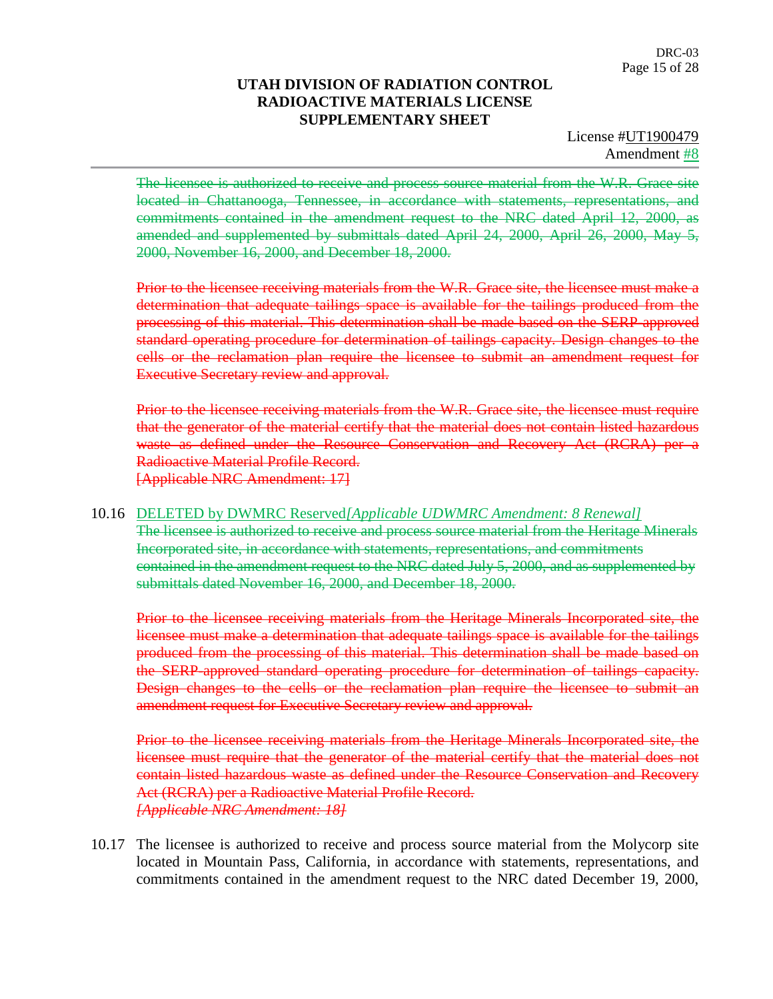License #UT1900479 Amendment #8

The licensee is authorized to receive and process source material from the W.R. Grace site located in Chattanooga, Tennessee, in accordance with statements, representations, and commitments contained in the amendment request to the NRC dated April 12, 2000, as amended and supplemented by submittals dated April 24, 2000, April 26, 2000, May 5, 2000, November 16, 2000, and December 18, 2000.

Prior to the licensee receiving materials from the W.R. Grace site, the licensee must make a determination that adequate tailings space is available for the tailings produced from the processing of this material. This determination shall be made based on the SERP-approved standard operating procedure for determination of tailings capacity. Design changes to the cells or the reclamation plan require the licensee to submit an amendment request for Executive Secretary review and approval.

Prior to the licensee receiving materials from the W.R. Grace site, the licensee must require that the generator of the material certify that the material does not contain listed hazardous waste as defined under the Resource Conservation and Recovery Act (RCRA) per a Radioactive Material Profile Record. [Applicable NRC Amendment: 17]

#### 10.16 DELETED by DWMRC Reserved*[Applicable UDWMRC Amendment: 8 Renewal]*

The licensee is authorized to receive and process source material from the Heritage Minerals Incorporated site, in accordance with statements, representations, and commitments contained in the amendment request to the NRC dated July 5, 2000, and as supplemented by submittals dated November 16, 2000, and December 18, 2000.

Prior to the licensee receiving materials from the Heritage Minerals Incorporated site, the licensee must make a determination that adequate tailings space is available for the tailings produced from the processing of this material. This determination shall be made based on the SERP-approved standard operating procedure for determination of tailings capacity. Design changes to the cells or the reclamation plan require the licensee to submit an amendment request for Executive Secretary review and approval.

Prior to the licensee receiving materials from the Heritage Minerals Incorporated site, the licensee must require that the generator of the material certify that the material does not contain listed hazardous waste as defined under the Resource Conservation and Recovery Act (RCRA) per a Radioactive Material Profile Record. *[Applicable NRC Amendment: 18]*

10.17 The licensee is authorized to receive and process source material from the Molycorp site located in Mountain Pass, California, in accordance with statements, representations, and commitments contained in the amendment request to the NRC dated December 19, 2000,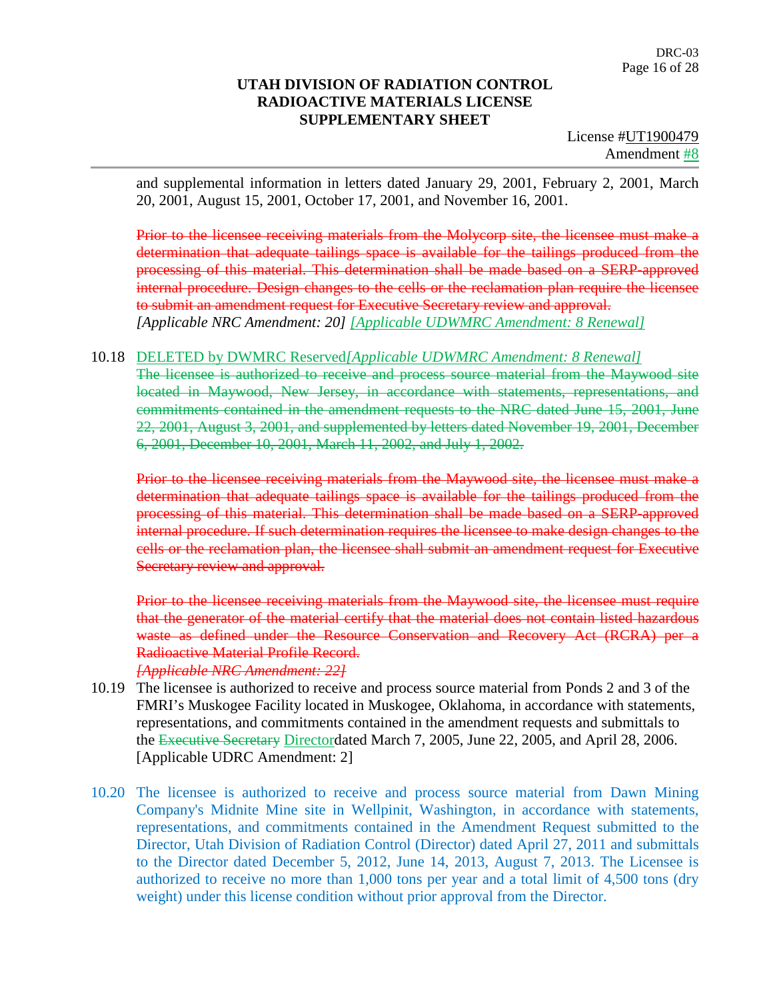License #UT1900479 Amendment #8

and supplemental information in letters dated January 29, 2001, February 2, 2001, March 20, 2001, August 15, 2001, October 17, 2001, and November 16, 2001.

Prior to the licensee receiving materials from the Molycorp site, the licensee must make a determination that adequate tailings space is available for the tailings produced from the processing of this material. This determination shall be made based on a SERP-approved internal procedure. Design changes to the cells or the reclamation plan require the licensee to submit an amendment request for Executive Secretary review and approval. *[Applicable NRC Amendment: 20] [Applicable UDWMRC Amendment: 8 Renewal]*

#### 10.18 DELETED by DWMRC Reserved*[Applicable UDWMRC Amendment: 8 Renewal]*

The licensee is authorized to receive and process source material from the Maywood site located in Maywood, New Jersey, in accordance with statements, representations, and commitments contained in the amendment requests to the NRC dated June 15, 2001, June 22, 2001, August 3, 2001, and supplemented by letters dated November 19, 2001, December 6, 2001, December 10, 2001, March 11, 2002, and July 1, 2002.

Prior to the licensee receiving materials from the Maywood site, the licensee must make a determination that adequate tailings space is available for the tailings produced from the processing of this material. This determination shall be made based on a SERP-approved internal procedure. If such determination requires the licensee to make design changes to the cells or the reclamation plan, the licensee shall submit an amendment request for Executive Secretary review and approval.

Prior to the licensee receiving materials from the Maywood site, the licensee must require that the generator of the material certify that the material does not contain listed hazardous waste as defined under the Resource Conservation and Recovery Act (RCRA) per a Radioactive Material Profile Record. *[Applicable NRC Amendment: 22]*

10.19 The licensee is authorized to receive and process source material from Ponds 2 and 3 of the FMRI's Muskogee Facility located in Muskogee, Oklahoma, in accordance with statements, representations, and commitments contained in the amendment requests and submittals to the Executive Secretary Directordated March 7, 2005, June 22, 2005, and April 28, 2006. [Applicable UDRC Amendment: 2]

10.20 The licensee is authorized to receive and process source material from Dawn Mining Company's Midnite Mine site in Wellpinit, Washington, in accordance with statements, representations, and commitments contained in the Amendment Request submitted to the Director, Utah Division of Radiation Control (Director) dated April 27, 2011 and submittals to the Director dated December 5, 2012, June 14, 2013, August 7, 2013. The Licensee is authorized to receive no more than 1,000 tons per year and a total limit of 4,500 tons (dry weight) under this license condition without prior approval from the Director.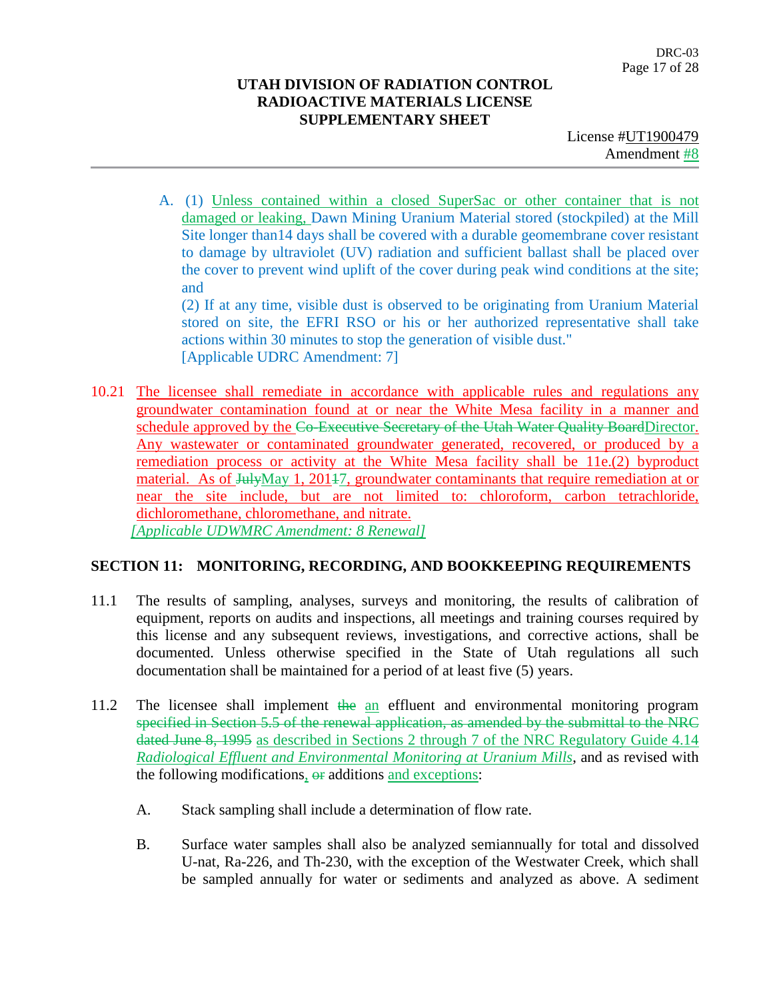License #UT1900479 Amendment #8

A. (1) Unless contained within a closed SuperSac or other container that is not damaged or leaking, Dawn Mining Uranium Material stored (stockpiled) at the Mill Site longer than14 days shall be covered with a durable geomembrane cover resistant to damage by ultraviolet (UV) radiation and sufficient ballast shall be placed over the cover to prevent wind uplift of the cover during peak wind conditions at the site; and

(2) If at any time, visible dust is observed to be originating from Uranium Material stored on site, the EFRI RSO or his or her authorized representative shall take actions within 30 minutes to stop the generation of visible dust." [Applicable UDRC Amendment: 7]

10.21 The licensee shall remediate in accordance with applicable rules and regulations any groundwater contamination found at or near the White Mesa facility in a manner and schedule approved by the Co-Executive Secretary of the Utah Water Quality BoardDirector. Any wastewater or contaminated groundwater generated, recovered, or produced by a remediation process or activity at the White Mesa facility shall be 11e.(2) byproduct material. As of JulyMay 1, 20147, groundwater contaminants that require remediation at or near the site include, but are not limited to: chloroform, carbon tetrachloride, dichloromethane, chloromethane, and nitrate. *[Applicable UDWMRC Amendment: 8 Renewal]*

#### **SECTION 11: MONITORING, RECORDING, AND BOOKKEEPING REQUIREMENTS**

- 11.1 The results of sampling, analyses, surveys and monitoring, the results of calibration of equipment, reports on audits and inspections, all meetings and training courses required by this license and any subsequent reviews, investigations, and corrective actions, shall be documented. Unless otherwise specified in the State of Utah regulations all such documentation shall be maintained for a period of at least five (5) years.
- 11.2 The licensee shall implement the an effluent and environmental monitoring program specified in Section 5.5 of the renewal application, as amended by the submittal to the NRC dated June 8, 1995 as described in Sections 2 through 7 of the NRC Regulatory Guide 4.14 *Radiological Effluent and Environmental Monitoring at Uranium Mills*, and as revised with the following modifications,  $\Theta$  additions and exceptions:
	- A. Stack sampling shall include a determination of flow rate.
	- B. Surface water samples shall also be analyzed semiannually for total and dissolved U-nat, Ra-226, and Th-230, with the exception of the Westwater Creek, which shall be sampled annually for water or sediments and analyzed as above. A sediment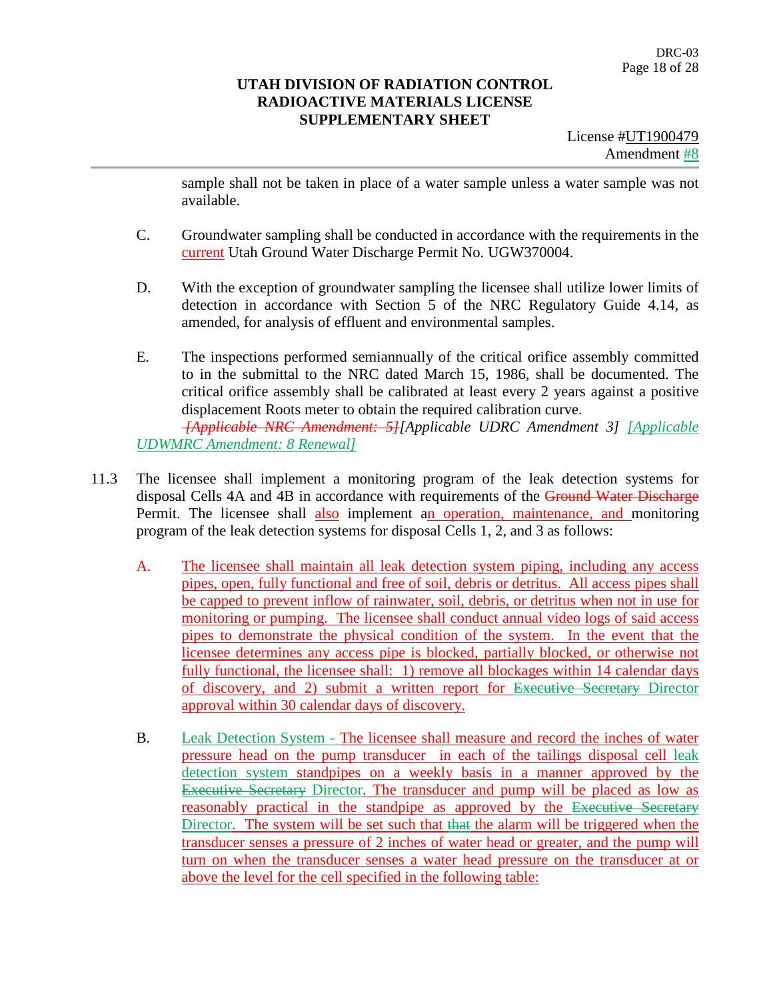License #UT1900479 Amendment #8

sample shall not be taken in place of a water sample unless a water sample was not available.

- C. Groundwater sampling shall be conducted in accordance with the requirements in the current Utah Ground Water Discharge Permit No. UGW370004.
- D. With the exception of groundwater sampling the licensee shall utilize lower limits of detection in accordance with Section 5 of the NRC Regulatory Guide 4.14, as amended, for analysis of effluent and environmental samples.
- E. The inspections performed semiannually of the critical orifice assembly committed to in the submittal to the NRC dated March 15, 1986, shall be documented. The critical orifice assembly shall be calibrated at least every 2 years against a positive displacement Roots meter to obtain the required calibration curve. *[Applicable NRC Amendment: 5][Applicable UDRC Amendment 3] [Applicable UDWMRC Amendment: 8 Renewal]*
- 11.3 The licensee shall implement a monitoring program of the leak detection systems for disposal Cells 4A and 4B in accordance with requirements of the Ground Water Discharge Permit. The licensee shall also implement an operation, maintenance, and monitoring program of the leak detection systems for disposal Cells 1, 2, and 3 as follows:
	- A. The licensee shall maintain all leak detection system piping, including any access pipes, open, fully functional and free of soil, debris or detritus. All access pipes shall be capped to prevent inflow of rainwater, soil, debris, or detritus when not in use for monitoring or pumping. The licensee shall conduct annual video logs of said access pipes to demonstrate the physical condition of the system. In the event that the licensee determines any access pipe is blocked, partially blocked, or otherwise not fully functional, the licensee shall: 1) remove all blockages within 14 calendar days of discovery, and 2) submit a written report for Executive Secretary Director approval within 30 calendar days of discovery.
	- B. Leak Detection System The licensee shall measure and record the inches of water pressure head on the pump transducer in each of the tailings disposal cell leak detection system standpipes on a weekly basis in a manner approved by the Executive Secretary Director. The transducer and pump will be placed as low as reasonably practical in the standpipe as approved by the Executive Secretary Director. The system will be set such that that the alarm will be triggered when the transducer senses a pressure of 2 inches of water head or greater, and the pump will turn on when the transducer senses a water head pressure on the transducer at or above the level for the cell specified in the following table: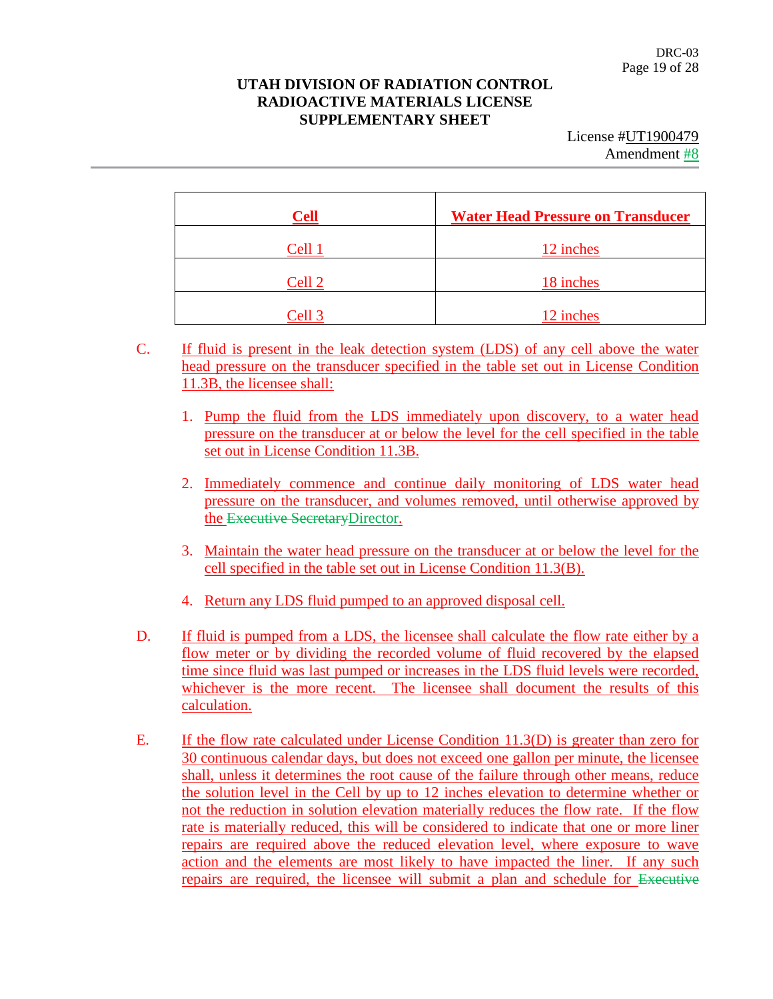License #UT1900479 Amendment #8

| <b>Cell</b> | <b>Water Head Pressure on Transducer</b> |
|-------------|------------------------------------------|
| Cell 1      | 12 inches                                |
| Cell 2      | 18 inches                                |
| Cell 3      | 12 inches                                |

- C. If fluid is present in the leak detection system (LDS) of any cell above the water head pressure on the transducer specified in the table set out in License Condition 11.3B, the licensee shall:
	- 1. Pump the fluid from the LDS immediately upon discovery, to a water head pressure on the transducer at or below the level for the cell specified in the table set out in License Condition 11.3B.
	- 2. Immediately commence and continue daily monitoring of LDS water head pressure on the transducer, and volumes removed, until otherwise approved by the Executive SecretaryDirector.
	- 3. Maintain the water head pressure on the transducer at or below the level for the cell specified in the table set out in License Condition 11.3(B).
	- 4. Return any LDS fluid pumped to an approved disposal cell.
- D. If fluid is pumped from a LDS, the licensee shall calculate the flow rate either by a flow meter or by dividing the recorded volume of fluid recovered by the elapsed time since fluid was last pumped or increases in the LDS fluid levels were recorded, whichever is the more recent. The licensee shall document the results of this calculation.
- E. If the flow rate calculated under License Condition 11.3(D) is greater than zero for 30 continuous calendar days, but does not exceed one gallon per minute, the licensee shall, unless it determines the root cause of the failure through other means, reduce the solution level in the Cell by up to 12 inches elevation to determine whether or not the reduction in solution elevation materially reduces the flow rate. If the flow rate is materially reduced, this will be considered to indicate that one or more liner repairs are required above the reduced elevation level, where exposure to wave action and the elements are most likely to have impacted the liner. If any such repairs are required, the licensee will submit a plan and schedule for Executive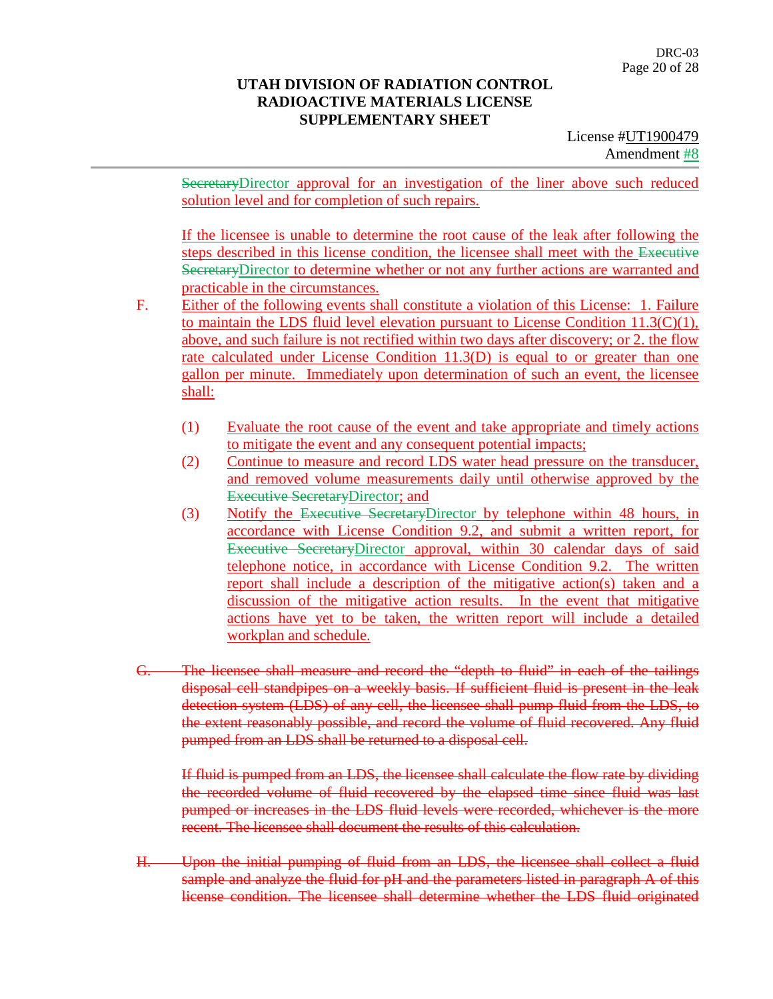License #UT1900479 Amendment #8

SecretaryDirector approval for an investigation of the liner above such reduced solution level and for completion of such repairs.

If the licensee is unable to determine the root cause of the leak after following the steps described in this license condition, the licensee shall meet with the Executive SecretaryDirector to determine whether or not any further actions are warranted and practicable in the circumstances.

- F. Either of the following events shall constitute a violation of this License: 1. Failure to maintain the LDS fluid level elevation pursuant to License Condition 11.3(C)(1), above, and such failure is not rectified within two days after discovery; or 2. the flow rate calculated under License Condition 11.3(D) is equal to or greater than one gallon per minute. Immediately upon determination of such an event, the licensee shall:
	- (1) Evaluate the root cause of the event and take appropriate and timely actions to mitigate the event and any consequent potential impacts;
	- (2) Continue to measure and record LDS water head pressure on the transducer, and removed volume measurements daily until otherwise approved by the Executive SecretaryDirector; and
	- (3) Notify the Executive SecretaryDirector by telephone within 48 hours, in accordance with License Condition 9.2, and submit a written report, for Executive SecretaryDirector approval, within 30 calendar days of said telephone notice, in accordance with License Condition 9.2. The written report shall include a description of the mitigative action(s) taken and a discussion of the mitigative action results. In the event that mitigative actions have yet to be taken, the written report will include a detailed workplan and schedule.
- G. The licensee shall measure and record the "depth to fluid" in each of the tailings disposal cell standpipes on a weekly basis. If sufficient fluid is present in the leak detection system (LDS) of any cell, the licensee shall pump fluid from the LDS, to the extent reasonably possible, and record the volume of fluid recovered. Any fluid pumped from an LDS shall be returned to a disposal cell.

If fluid is pumped from an LDS, the licensee shall calculate the flow rate by dividing the recorded volume of fluid recovered by the elapsed time since fluid was last pumped or increases in the LDS fluid levels were recorded, whichever is the more recent. The licensee shall document the results of this calculation.

H. Upon the initial pumping of fluid from an LDS, the licensee shall collect a fluid sample and analyze the fluid for pH and the parameters listed in paragraph A of this license condition. The licensee shall determine whether the LDS fluid originated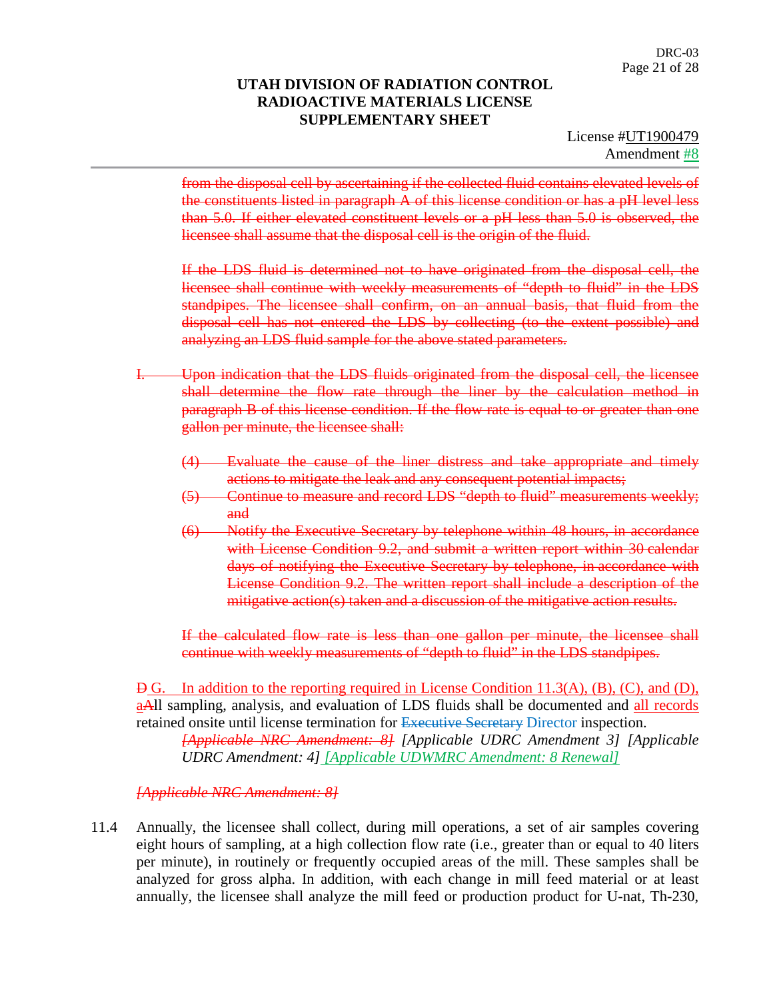from the disposal cell by ascertaining if the collected fluid contains elevated levels of the constituents listed in paragraph A of this license condition or has a pH level less than 5.0. If either elevated constituent levels or a pH less than 5.0 is observed, the licensee shall assume that the disposal cell is the origin of the fluid.

If the LDS fluid is determined not to have originated from the disposal cell, the licensee shall continue with weekly measurements of "depth to fluid" in the LDS standpipes. The licensee shall confirm, on an annual basis, that fluid from the disposal cell has not entered the LDS by collecting (to the extent possible) and analyzing an LDS fluid sample for the above stated parameters.

- I. Upon indication that the LDS fluids originated from the disposal cell, the licensee shall determine the flow rate through the liner by the calculation method in paragraph B of this license condition. If the flow rate is equal to or greater than one gallon per minute, the licensee shall:
	- (4) Evaluate the cause of the liner distress and take appropriate and timely actions to mitigate the leak and any consequent potential impacts;
	- (5) Continue to measure and record LDS "depth to fluid" measurements weekly; and
	- (6) Notify the Executive Secretary by telephone within 48 hours, in accordance with License Condition 9.2, and submit a written report within 30 calendar days of notifying the Executive Secretary by telephone, in accordance with License Condition 9.2. The written report shall include a description of the mitigative action(s) taken and a discussion of the mitigative action results.

If the calculated flow rate is less than one gallon per minute, the licensee shall continue with weekly measurements of "depth to fluid" in the LDS standpipes.

 $\overline{B}$  G. In addition to the reporting required in License Condition 11.3(A), (B), (C), and (D), aAll sampling, analysis, and evaluation of LDS fluids shall be documented and all records retained onsite until license termination for Executive Secretary Director inspection.

*[Applicable NRC Amendment: 8] [Applicable UDRC Amendment 3] [Applicable UDRC Amendment: 4] [Applicable UDWMRC Amendment: 8 Renewal]*

*[Applicable NRC Amendment: 8]*

11.4 Annually, the licensee shall collect, during mill operations, a set of air samples covering eight hours of sampling, at a high collection flow rate (i.e., greater than or equal to 40 liters per minute), in routinely or frequently occupied areas of the mill. These samples shall be analyzed for gross alpha. In addition, with each change in mill feed material or at least annually, the licensee shall analyze the mill feed or production product for U-nat, Th-230,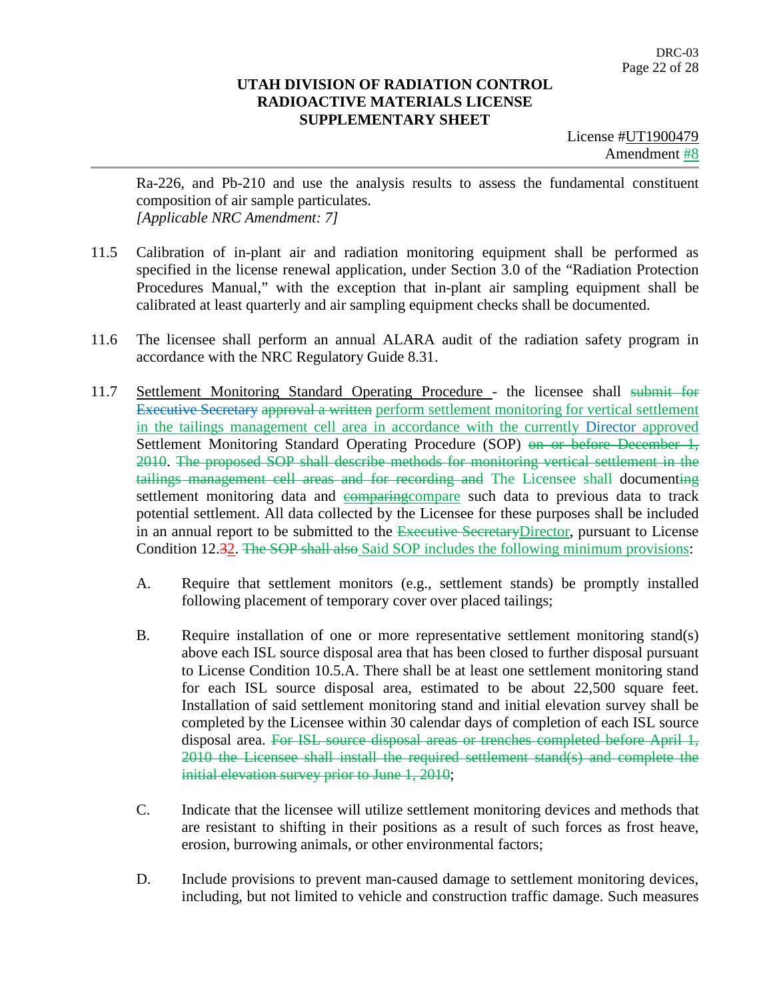License #UT1900479 Amendment **#8** 

Ra-226, and Pb-210 and use the analysis results to assess the fundamental constituent composition of air sample particulates. *[Applicable NRC Amendment: 7]*

- 11.5 Calibration of in-plant air and radiation monitoring equipment shall be performed as specified in the license renewal application, under Section 3.0 of the "Radiation Protection Procedures Manual," with the exception that in-plant air sampling equipment shall be calibrated at least quarterly and air sampling equipment checks shall be documented.
- 11.6 The licensee shall perform an annual ALARA audit of the radiation safety program in accordance with the NRC Regulatory Guide 8.31.
- 11.7 Settlement Monitoring Standard Operating Procedure the licensee shall submit for Executive Secretary approval a written perform settlement monitoring for vertical settlement in the tailings management cell area in accordance with the currently Director approved Settlement Monitoring Standard Operating Procedure (SOP) on or before December 1, 2010. The proposed SOP shall describe methods for monitoring vertical settlement in the tailings management cell areas and for recording and The Licensee shall documenting settlement monitoring data and comparing compare such data to previous data to track potential settlement. All data collected by the Licensee for these purposes shall be included in an annual report to be submitted to the Executive Secretary Director, pursuant to License Condition 12.32. The SOP shall also Said SOP includes the following minimum provisions:
	- A. Require that settlement monitors (e.g., settlement stands) be promptly installed following placement of temporary cover over placed tailings;
	- B. Require installation of one or more representative settlement monitoring stand(s) above each ISL source disposal area that has been closed to further disposal pursuant to License Condition 10.5.A. There shall be at least one settlement monitoring stand for each ISL source disposal area, estimated to be about 22,500 square feet. Installation of said settlement monitoring stand and initial elevation survey shall be completed by the Licensee within 30 calendar days of completion of each ISL source disposal area. For ISL source disposal areas or trenches completed before April 1, 2010 the Licensee shall install the required settlement stand(s) and complete the initial elevation survey prior to June 1, 2010;
	- C. Indicate that the licensee will utilize settlement monitoring devices and methods that are resistant to shifting in their positions as a result of such forces as frost heave, erosion, burrowing animals, or other environmental factors;
	- D. Include provisions to prevent man-caused damage to settlement monitoring devices, including, but not limited to vehicle and construction traffic damage. Such measures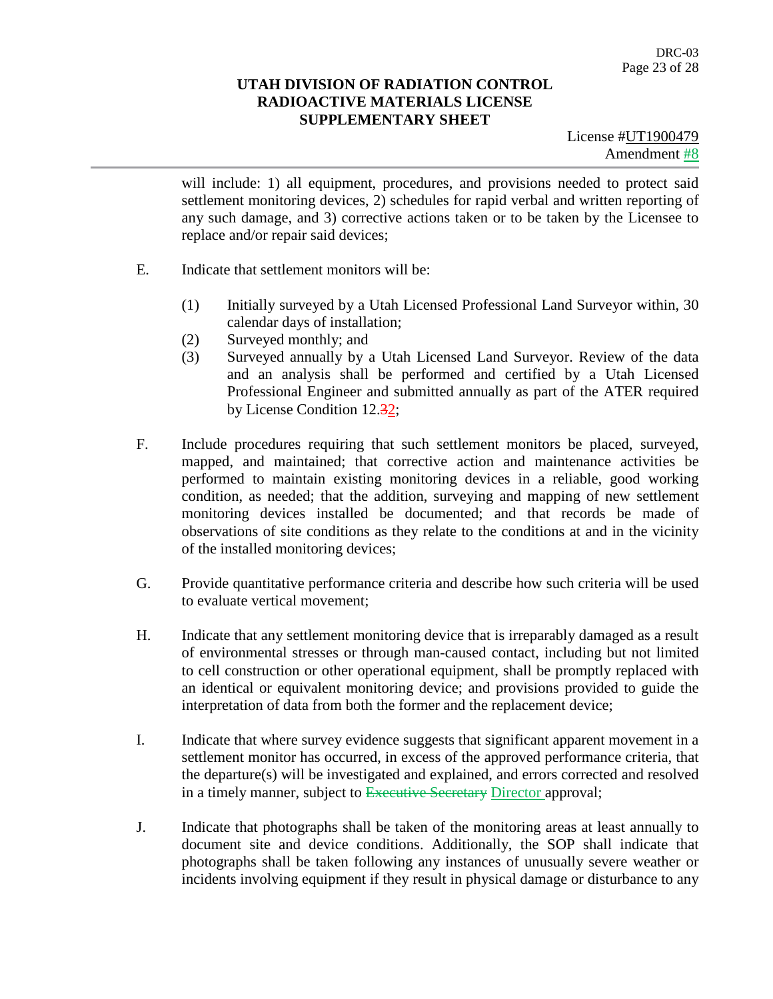License #UT1900479 Amendment #8

will include: 1) all equipment, procedures, and provisions needed to protect said settlement monitoring devices, 2) schedules for rapid verbal and written reporting of any such damage, and 3) corrective actions taken or to be taken by the Licensee to replace and/or repair said devices;

- E. Indicate that settlement monitors will be:
	- (1) Initially surveyed by a Utah Licensed Professional Land Surveyor within, 30 calendar days of installation;
	- (2) Surveyed monthly; and
	- (3) Surveyed annually by a Utah Licensed Land Surveyor. Review of the data and an analysis shall be performed and certified by a Utah Licensed Professional Engineer and submitted annually as part of the ATER required by License Condition 12.32;
- F. Include procedures requiring that such settlement monitors be placed, surveyed, mapped, and maintained; that corrective action and maintenance activities be performed to maintain existing monitoring devices in a reliable, good working condition, as needed; that the addition, surveying and mapping of new settlement monitoring devices installed be documented; and that records be made of observations of site conditions as they relate to the conditions at and in the vicinity of the installed monitoring devices;
- G. Provide quantitative performance criteria and describe how such criteria will be used to evaluate vertical movement;
- H. Indicate that any settlement monitoring device that is irreparably damaged as a result of environmental stresses or through man-caused contact, including but not limited to cell construction or other operational equipment, shall be promptly replaced with an identical or equivalent monitoring device; and provisions provided to guide the interpretation of data from both the former and the replacement device;
- I. Indicate that where survey evidence suggests that significant apparent movement in a settlement monitor has occurred, in excess of the approved performance criteria, that the departure(s) will be investigated and explained, and errors corrected and resolved in a timely manner, subject to Executive Secretary Director approval;
- J. Indicate that photographs shall be taken of the monitoring areas at least annually to document site and device conditions. Additionally, the SOP shall indicate that photographs shall be taken following any instances of unusually severe weather or incidents involving equipment if they result in physical damage or disturbance to any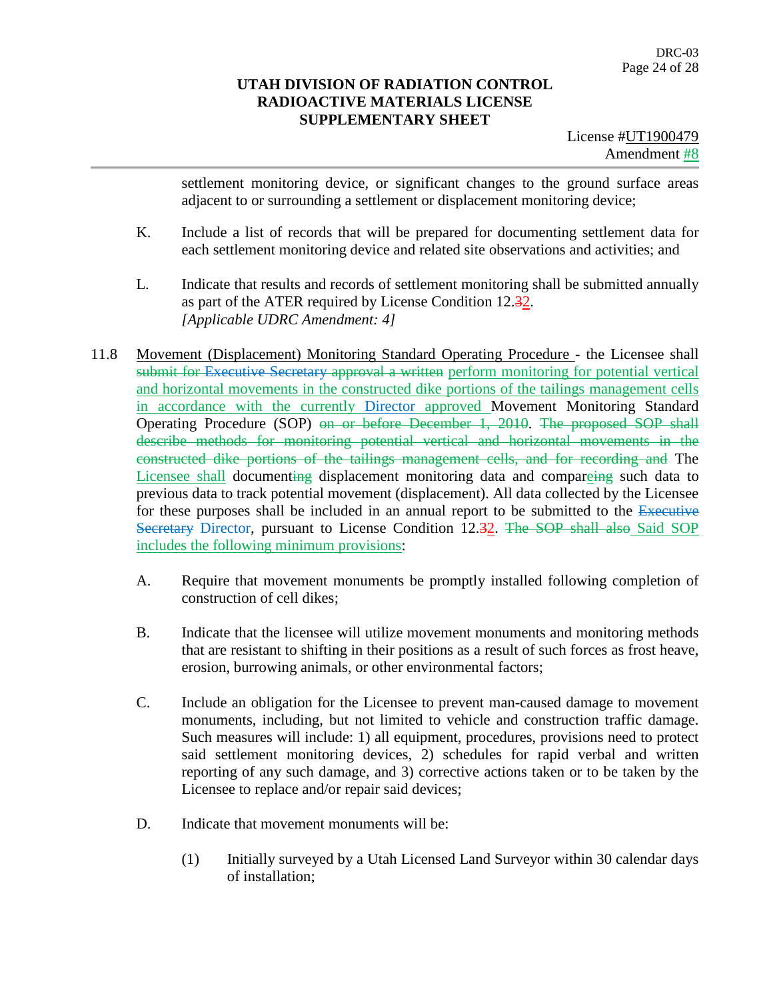License #UT1900479 Amendment #8

settlement monitoring device, or significant changes to the ground surface areas adjacent to or surrounding a settlement or displacement monitoring device;

- K. Include a list of records that will be prepared for documenting settlement data for each settlement monitoring device and related site observations and activities; and
- L. Indicate that results and records of settlement monitoring shall be submitted annually as part of the ATER required by License Condition 12.32. *[Applicable UDRC Amendment: 4]*
- 11.8 Movement (Displacement) Monitoring Standard Operating Procedure the Licensee shall submit for Executive Secretary approval a written perform monitoring for potential vertical and horizontal movements in the constructed dike portions of the tailings management cells in accordance with the currently Director approved Movement Monitoring Standard Operating Procedure (SOP) on or before December 1, 2010. The proposed SOP shall describe methods for monitoring potential vertical and horizontal movements in the constructed dike portions of the tailings management cells, and for recording and The Licensee shall documenting displacement monitoring data and compareing such data to previous data to track potential movement (displacement). All data collected by the Licensee for these purposes shall be included in an annual report to be submitted to the Executive Secretary Director, pursuant to License Condition 12.32. The SOP shall also Said SOP includes the following minimum provisions:
	- A. Require that movement monuments be promptly installed following completion of construction of cell dikes;
	- B. Indicate that the licensee will utilize movement monuments and monitoring methods that are resistant to shifting in their positions as a result of such forces as frost heave, erosion, burrowing animals, or other environmental factors;
	- C. Include an obligation for the Licensee to prevent man-caused damage to movement monuments, including, but not limited to vehicle and construction traffic damage. Such measures will include: 1) all equipment, procedures, provisions need to protect said settlement monitoring devices, 2) schedules for rapid verbal and written reporting of any such damage, and 3) corrective actions taken or to be taken by the Licensee to replace and/or repair said devices;
	- D. Indicate that movement monuments will be:
		- (1) Initially surveyed by a Utah Licensed Land Surveyor within 30 calendar days of installation;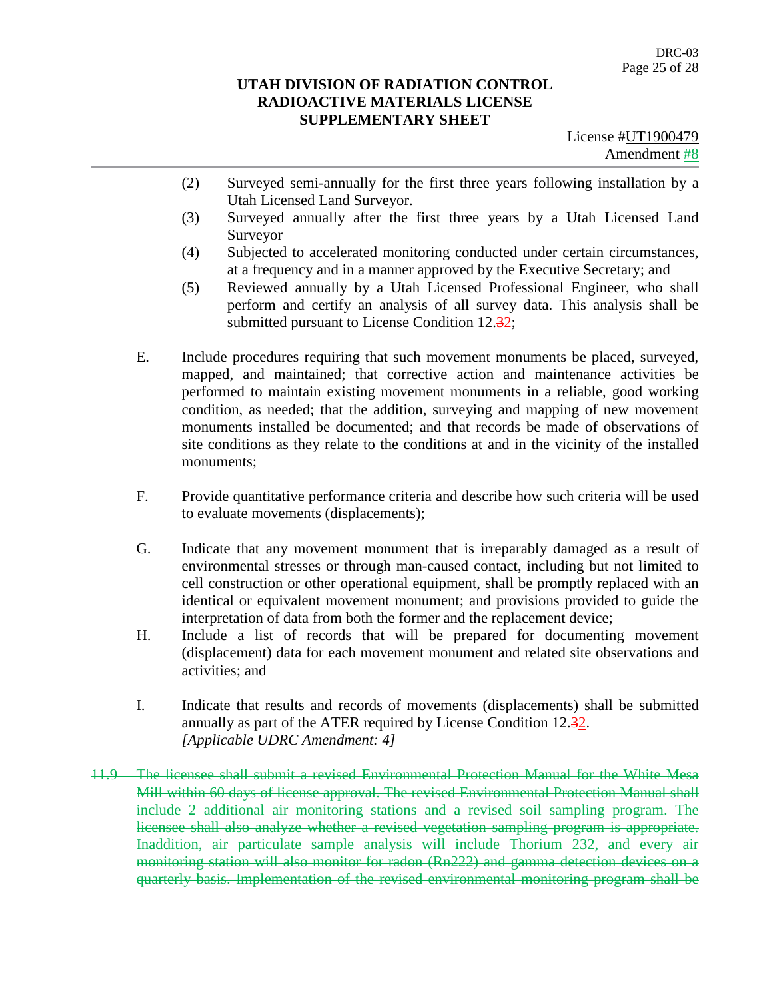- (2) Surveyed semi-annually for the first three years following installation by a Utah Licensed Land Surveyor.
- (3) Surveyed annually after the first three years by a Utah Licensed Land Surveyor
- (4) Subjected to accelerated monitoring conducted under certain circumstances, at a frequency and in a manner approved by the Executive Secretary; and
- (5) Reviewed annually by a Utah Licensed Professional Engineer, who shall perform and certify an analysis of all survey data. This analysis shall be submitted pursuant to License Condition 12.32;
- E. Include procedures requiring that such movement monuments be placed, surveyed, mapped, and maintained; that corrective action and maintenance activities be performed to maintain existing movement monuments in a reliable, good working condition, as needed; that the addition, surveying and mapping of new movement monuments installed be documented; and that records be made of observations of site conditions as they relate to the conditions at and in the vicinity of the installed monuments;
- F. Provide quantitative performance criteria and describe how such criteria will be used to evaluate movements (displacements);
- G. Indicate that any movement monument that is irreparably damaged as a result of environmental stresses or through man-caused contact, including but not limited to cell construction or other operational equipment, shall be promptly replaced with an identical or equivalent movement monument; and provisions provided to guide the interpretation of data from both the former and the replacement device;
- H. Include a list of records that will be prepared for documenting movement (displacement) data for each movement monument and related site observations and activities; and
- I. Indicate that results and records of movements (displacements) shall be submitted annually as part of the ATER required by License Condition 12.32. *[Applicable UDRC Amendment: 4]*
- 11.9 The licensee shall submit a revised Environmental Protection Manual for the White Mesa Mill within 60 days of license approval. The revised Environmental Protection Manual shall include 2 additional air monitoring stations and a revised soil sampling program. The licensee shall also analyze whether a revised vegetation sampling program is appropriate. Inaddition, air particulate sample analysis will include Thorium 232, and every air monitoring station will also monitor for radon (Rn222) and gamma detection devices on a quarterly basis. Implementation of the revised environmental monitoring program shall be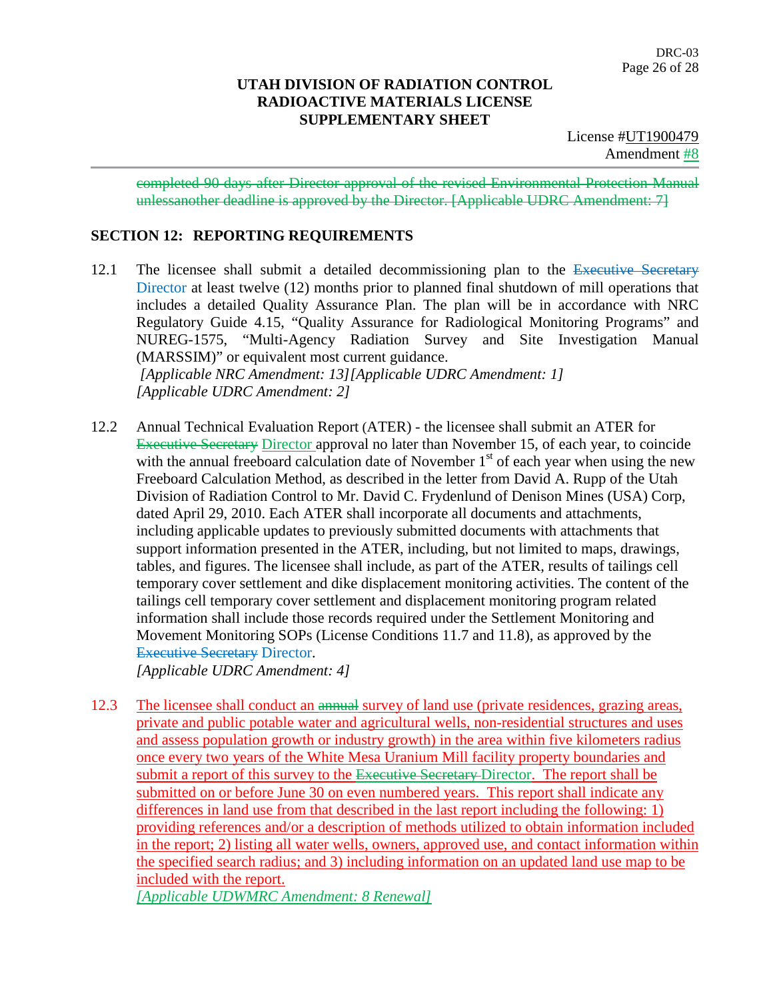completed 90 days after Director approval of the revised Environmental Protection Manual unlessanother deadline is approved by the Director. [Applicable UDRC Amendment: 7]

## **SECTION 12: REPORTING REQUIREMENTS**

- 12.1 The licensee shall submit a detailed decommissioning plan to the Executive Secretary Director at least twelve (12) months prior to planned final shutdown of mill operations that includes a detailed Quality Assurance Plan. The plan will be in accordance with NRC Regulatory Guide 4.15, "Quality Assurance for Radiological Monitoring Programs" and NUREG-1575, "Multi-Agency Radiation Survey and Site Investigation Manual (MARSSIM)" or equivalent most current guidance. *[Applicable NRC Amendment: 13][Applicable UDRC Amendment: 1] [Applicable UDRC Amendment: 2]*
- 12.2 Annual Technical Evaluation Report (ATER) the licensee shall submit an ATER for Executive Secretary Director approval no later than November 15, of each year, to coincide with the annual freeboard calculation date of November  $1<sup>st</sup>$  of each year when using the new Freeboard Calculation Method, as described in the letter from David A. Rupp of the Utah Division of Radiation Control to Mr. David C. Frydenlund of Denison Mines (USA) Corp, dated April 29, 2010. Each ATER shall incorporate all documents and attachments, including applicable updates to previously submitted documents with attachments that support information presented in the ATER, including, but not limited to maps, drawings, tables, and figures. The licensee shall include, as part of the ATER, results of tailings cell temporary cover settlement and dike displacement monitoring activities. The content of the tailings cell temporary cover settlement and displacement monitoring program related information shall include those records required under the Settlement Monitoring and Movement Monitoring SOPs (License Conditions 11.7 and 11.8), as approved by the **Executive Secretary Director.**

*[Applicable UDRC Amendment: 4]*

12.3 The licensee shall conduct an annual survey of land use (private residences, grazing areas, private and public potable water and agricultural wells, non-residential structures and uses and assess population growth or industry growth) in the area within five kilometers radius once every two years of the White Mesa Uranium Mill facility property boundaries and submit a report of this survey to the Executive Secretary-Director. The report shall be submitted on or before June 30 on even numbered years. This report shall indicate any differences in land use from that described in the last report including the following: 1) providing references and/or a description of methods utilized to obtain information included in the report; 2) listing all water wells, owners, approved use, and contact information within the specified search radius; and 3) including information on an updated land use map to be included with the report.

*[Applicable UDWMRC Amendment: 8 Renewal]*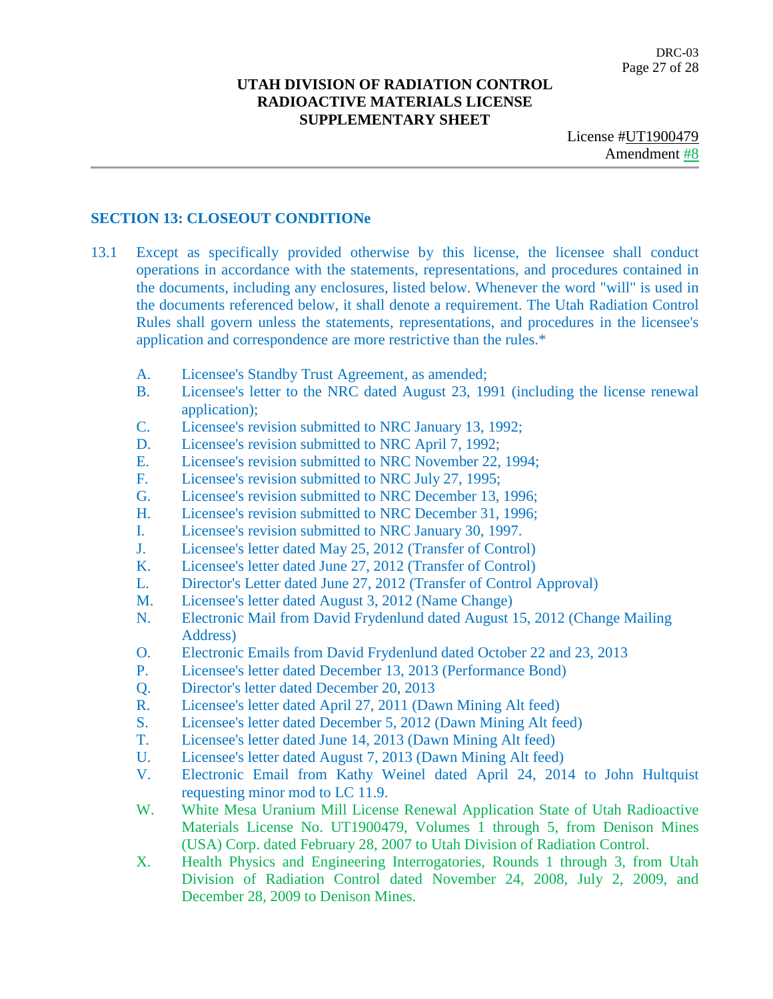DRC-03 Page 27 of 28

### **UTAH DIVISION OF RADIATION CONTROL RADIOACTIVE MATERIALS LICENSE SUPPLEMENTARY SHEET**

## **SECTION 13: CLOSEOUT CONDITIONe**

- 13.1 Except as specifically provided otherwise by this license, the licensee shall conduct operations in accordance with the statements, representations, and procedures contained in the documents, including any enclosures, listed below. Whenever the word "will" is used in the documents referenced below, it shall denote a requirement. The Utah Radiation Control Rules shall govern unless the statements, representations, and procedures in the licensee's application and correspondence are more restrictive than the rules.\*
	- A. Licensee's Standby Trust Agreement, as amended;
	- B. Licensee's letter to the NRC dated August 23, 1991 (including the license renewal application);
	- C. Licensee's revision submitted to NRC January 13, 1992;
	- D. Licensee's revision submitted to NRC April 7, 1992;
	- E. Licensee's revision submitted to NRC November 22, 1994;
	- F. Licensee's revision submitted to NRC July 27, 1995;
	- G. Licensee's revision submitted to NRC December 13, 1996;
	- H. Licensee's revision submitted to NRC December 31, 1996;
	- I. Licensee's revision submitted to NRC January 30, 1997.
	- J. Licensee's letter dated May 25, 2012 (Transfer of Control)
	- K. Licensee's letter dated June 27, 2012 (Transfer of Control)
	- L. Director's Letter dated June 27, 2012 (Transfer of Control Approval)
	- M. Licensee's letter dated August 3, 2012 (Name Change)
	- N. Electronic Mail from David Frydenlund dated August 15, 2012 (Change Mailing Address)
	- O. Electronic Emails from David Frydenlund dated October 22 and 23, 2013
	- P. Licensee's letter dated December 13, 2013 (Performance Bond)
	- Q. Director's letter dated December 20, 2013
	- R. Licensee's letter dated April 27, 2011 (Dawn Mining Alt feed)
	- S. Licensee's letter dated December 5, 2012 (Dawn Mining Alt feed)
	- T. Licensee's letter dated June 14, 2013 (Dawn Mining Alt feed)
	- U. Licensee's letter dated August 7, 2013 (Dawn Mining Alt feed)
	- V. Electronic Email from Kathy Weinel dated April 24, 2014 to John Hultquist requesting minor mod to LC 11.9.
	- W. White Mesa Uranium Mill License Renewal Application State of Utah Radioactive Materials License No. UT1900479, Volumes 1 through 5, from Denison Mines (USA) Corp. dated February 28, 2007 to Utah Division of Radiation Control.
	- X. Health Physics and Engineering Interrogatories, Rounds 1 through 3, from Utah Division of Radiation Control dated November 24, 2008, July 2, 2009, and December 28, 2009 to Denison Mines.